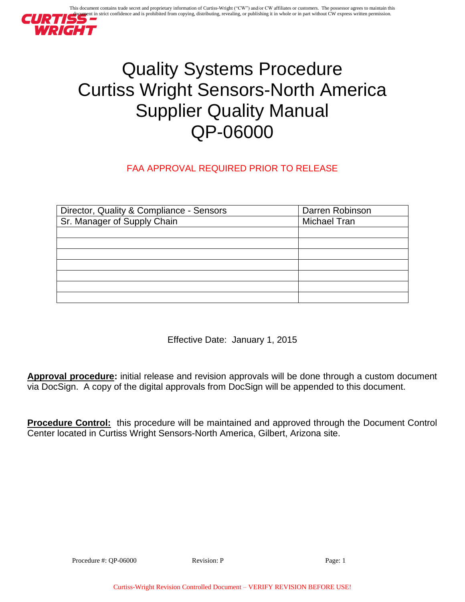

# Quality Systems Procedure Curtiss Wright Sensors-North America Supplier Quality Manual QP-06000

# FAA APPROVAL REQUIRED PRIOR TO RELEASE

| Director, Quality & Compliance - Sensors | Darren Robinson     |
|------------------------------------------|---------------------|
| Sr. Manager of Supply Chain              | <b>Michael Tran</b> |
|                                          |                     |
|                                          |                     |
|                                          |                     |
|                                          |                     |
|                                          |                     |
|                                          |                     |
|                                          |                     |

Effective Date: January 1, 2015

**Approval procedure:** initial release and revision approvals will be done through a custom document via DocSign. A copy of the digital approvals from DocSign will be appended to this document.

**Procedure Control:** this procedure will be maintained and approved through the Document Control Center located in Curtiss Wright Sensors-North America, Gilbert, Arizona site.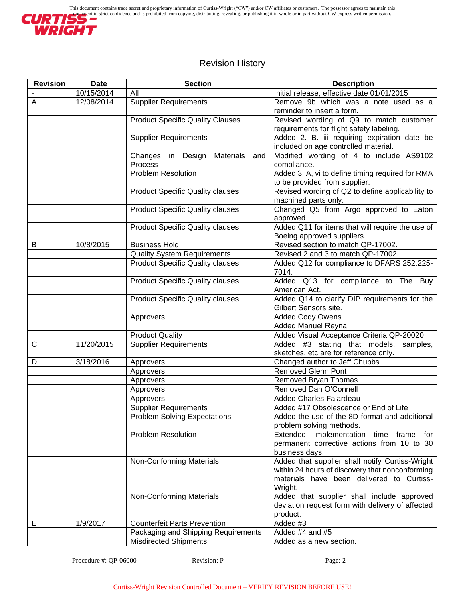

# Revision History

| <b>Revision</b> | <b>Date</b> | <b>Section</b>                          | <b>Description</b>                                             |
|-----------------|-------------|-----------------------------------------|----------------------------------------------------------------|
|                 | 10/15/2014  | All                                     | Initial release, effective date 01/01/2015                     |
| A               | 12/08/2014  | <b>Supplier Requirements</b>            | Remove 9b which was a note used as a                           |
|                 |             |                                         | reminder to insert a form.                                     |
|                 |             | <b>Product Specific Quality Clauses</b> | Revised wording of Q9 to match customer                        |
|                 |             |                                         | requirements for flight safety labeling.                       |
|                 |             | <b>Supplier Requirements</b>            | Added 2. B. iii requiring expiration date be                   |
|                 |             |                                         | included on age controlled material.                           |
|                 |             | Changes in Design Materials and         | Modified wording of 4 to include AS9102                        |
|                 |             | Process                                 | compliance.                                                    |
|                 |             | Problem Resolution                      | Added 3, A, vi to define timing required for RMA               |
|                 |             |                                         | to be provided from supplier.                                  |
|                 |             | <b>Product Specific Quality clauses</b> | Revised wording of Q2 to define applicability to               |
|                 |             | <b>Product Specific Quality clauses</b> | machined parts only.<br>Changed Q5 from Argo approved to Eaton |
|                 |             |                                         | approved.                                                      |
|                 |             | <b>Product Specific Quality clauses</b> | Added Q11 for items that will require the use of               |
|                 |             |                                         | Boeing approved suppliers.                                     |
| B               | 10/8/2015   | <b>Business Hold</b>                    | Revised section to match QP-17002.                             |
|                 |             | <b>Quality System Requirements</b>      | Revised 2 and 3 to match QP-17002.                             |
|                 |             | <b>Product Specific Quality clauses</b> | Added Q12 for compliance to DFARS 252.225-                     |
|                 |             |                                         | 7014.                                                          |
|                 |             | <b>Product Specific Quality clauses</b> | Added Q13 for compliance to The Buy                            |
|                 |             |                                         | American Act.                                                  |
|                 |             | <b>Product Specific Quality clauses</b> | Added Q14 to clarify DIP requirements for the                  |
|                 |             |                                         | Gilbert Sensors site.                                          |
|                 |             | Approvers                               | <b>Added Cody Owens</b>                                        |
|                 |             |                                         | Added Manuel Reyna                                             |
|                 |             | <b>Product Quality</b>                  | Added Visual Acceptance Criteria QP-20020                      |
| $\mathsf C$     | 11/20/2015  | <b>Supplier Requirements</b>            | Added #3 stating that models, samples,                         |
|                 |             |                                         | sketches, etc are for reference only.                          |
| D               | 3/18/2016   | Approvers                               | Changed author to Jeff Chubbs<br><b>Removed Glenn Pont</b>     |
|                 |             | Approvers<br>Approvers                  | Removed Bryan Thomas                                           |
|                 |             | Approvers                               | Removed Dan O'Connell                                          |
|                 |             | Approvers                               | <b>Added Charles Falardeau</b>                                 |
|                 |             | <b>Supplier Requirements</b>            | Added #17 Obsolescence or End of Life                          |
|                 |             | <b>Problem Solving Expectations</b>     | Added the use of the 8D format and additional                  |
|                 |             |                                         | problem solving methods.                                       |
|                 |             | <b>Problem Resolution</b>               | Extended implementation time frame for                         |
|                 |             |                                         | permanent corrective actions from 10 to 30                     |
|                 |             |                                         | business days.                                                 |
|                 |             | Non-Conforming Materials                | Added that supplier shall notify Curtiss-Wright                |
|                 |             |                                         | within 24 hours of discovery that nonconforming                |
|                 |             |                                         | materials have been delivered to Curtiss-                      |
|                 |             |                                         | Wright.                                                        |
|                 |             | Non-Conforming Materials                | Added that supplier shall include approved                     |
|                 |             |                                         | deviation request form with delivery of affected               |
|                 |             |                                         | product.                                                       |
| Е               | 1/9/2017    | <b>Counterfeit Parts Prevention</b>     | Added #3                                                       |
|                 |             | Packaging and Shipping Requirements     | Added #4 and #5                                                |
|                 |             | <b>Misdirected Shipments</b>            | Added as a new section.                                        |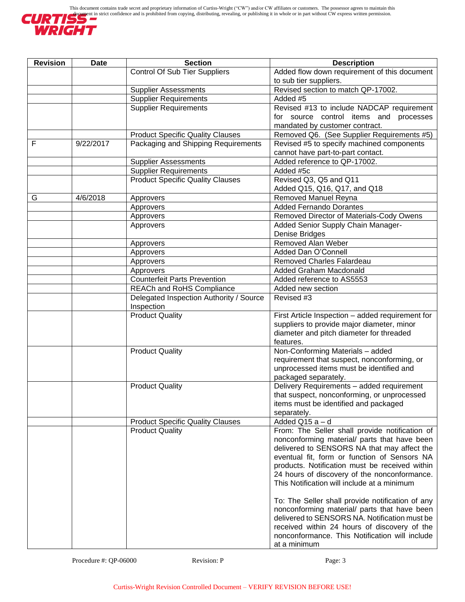

| <b>Revision</b> | <b>Date</b> | <b>Section</b>                          | <b>Description</b>                                                                            |
|-----------------|-------------|-----------------------------------------|-----------------------------------------------------------------------------------------------|
|                 |             | Control Of Sub Tier Suppliers           | Added flow down requirement of this document                                                  |
|                 |             |                                         | to sub tier suppliers.                                                                        |
|                 |             | <b>Supplier Assessments</b>             | Revised section to match QP-17002.                                                            |
|                 |             | <b>Supplier Requirements</b>            | Added #5                                                                                      |
|                 |             | <b>Supplier Requirements</b>            | Revised #13 to include NADCAP requirement                                                     |
|                 |             |                                         | for source control items and processes                                                        |
|                 |             |                                         | mandated by customer contract.                                                                |
|                 |             | <b>Product Specific Quality Clauses</b> | Removed Q6. (See Supplier Requirements #5)                                                    |
| F               | 9/22/2017   | Packaging and Shipping Requirements     | Revised #5 to specify machined components                                                     |
|                 |             |                                         | cannot have part-to-part contact.                                                             |
|                 |             | <b>Supplier Assessments</b>             | Added reference to QP-17002.                                                                  |
|                 |             | <b>Supplier Requirements</b>            | Added #5c                                                                                     |
|                 |             | <b>Product Specific Quality Clauses</b> | Revised Q3, Q5 and Q11                                                                        |
|                 |             |                                         | Added Q15, Q16, Q17, and Q18                                                                  |
| G               | 4/6/2018    | Approvers                               | Removed Manuel Reyna                                                                          |
|                 |             | Approvers                               | <b>Added Fernando Dorantes</b>                                                                |
|                 |             | Approvers                               | Removed Director of Materials-Cody Owens                                                      |
|                 |             | Approvers                               | Added Senior Supply Chain Manager-                                                            |
|                 |             |                                         | Denise Bridges                                                                                |
|                 |             | Approvers                               | Removed Alan Weber                                                                            |
|                 |             | Approvers                               | Added Dan O'Connell                                                                           |
|                 |             | Approvers                               | Removed Charles Falardeau                                                                     |
|                 |             | Approvers                               | <b>Added Graham Macdonald</b>                                                                 |
|                 |             | <b>Counterfeit Parts Prevention</b>     | Added reference to AS5553                                                                     |
|                 |             | <b>REACh and RoHS Compliance</b>        | Added new section                                                                             |
|                 |             | Delegated Inspection Authority / Source | Revised #3                                                                                    |
|                 |             | Inspection                              |                                                                                               |
|                 |             | <b>Product Quality</b>                  | First Article Inspection - added requirement for                                              |
|                 |             |                                         | suppliers to provide major diameter, minor                                                    |
|                 |             |                                         | diameter and pitch diameter for threaded                                                      |
|                 |             |                                         | features.                                                                                     |
|                 |             | <b>Product Quality</b>                  | Non-Conforming Materials - added                                                              |
|                 |             |                                         | requirement that suspect, nonconforming, or                                                   |
|                 |             |                                         | unprocessed items must be identified and                                                      |
|                 |             |                                         | packaged separately.                                                                          |
|                 |             | <b>Product Quality</b>                  | Delivery Requirements - added requirement                                                     |
|                 |             |                                         | that suspect, nonconforming, or unprocessed                                                   |
|                 |             |                                         | items must be identified and packaged                                                         |
|                 |             |                                         | separately.                                                                                   |
|                 |             | <b>Product Specific Quality Clauses</b> | Added Q15 a - d                                                                               |
|                 |             | <b>Product Quality</b>                  | From: The Seller shall provide notification of                                                |
|                 |             |                                         | nonconforming material/ parts that have been                                                  |
|                 |             |                                         | delivered to SENSORS NA that may affect the                                                   |
|                 |             |                                         | eventual fit, form or function of Sensors NA                                                  |
|                 |             |                                         | products. Notification must be received within                                                |
|                 |             |                                         | 24 hours of discovery of the nonconformance.                                                  |
|                 |             |                                         | This Notification will include at a minimum                                                   |
|                 |             |                                         |                                                                                               |
|                 |             |                                         | To: The Seller shall provide notification of any                                              |
|                 |             |                                         | nonconforming material/ parts that have been<br>delivered to SENSORS NA. Notification must be |
|                 |             |                                         | received within 24 hours of discovery of the                                                  |
|                 |             |                                         | nonconformance. This Notification will include                                                |
|                 |             |                                         | at a minimum                                                                                  |
|                 |             |                                         |                                                                                               |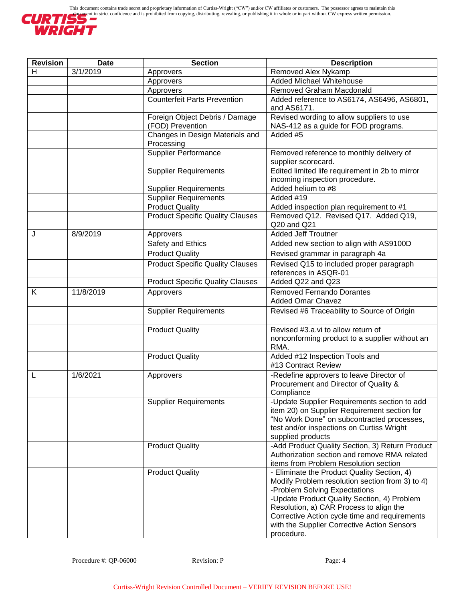

| <b>Revision</b> | <b>Date</b> | <b>Section</b>                                               | <b>Description</b>                                                                    |
|-----------------|-------------|--------------------------------------------------------------|---------------------------------------------------------------------------------------|
| н               | 3/1/2019    | Approvers                                                    | Removed Alex Nykamp                                                                   |
|                 |             | Approvers                                                    | Added Michael Whitehouse                                                              |
|                 |             | Approvers                                                    | <b>Removed Graham Macdonald</b>                                                       |
|                 |             | <b>Counterfeit Parts Prevention</b>                          | Added reference to AS6174, AS6496, AS6801,                                            |
|                 |             |                                                              | and AS6171.                                                                           |
|                 |             | Foreign Object Debris / Damage                               | Revised wording to allow suppliers to use                                             |
|                 |             | (FOD) Prevention                                             | NAS-412 as a guide for FOD programs.                                                  |
|                 |             | Changes in Design Materials and                              | Added #5                                                                              |
|                 |             | Processing                                                   |                                                                                       |
|                 |             | Supplier Performance                                         | Removed reference to monthly delivery of                                              |
|                 |             |                                                              | supplier scorecard.                                                                   |
|                 |             | <b>Supplier Requirements</b>                                 | Edited limited life requirement in 2b to mirror                                       |
|                 |             |                                                              | incoming inspection procedure.<br>Added helium to #8                                  |
|                 |             | <b>Supplier Requirements</b><br><b>Supplier Requirements</b> | Added #19                                                                             |
|                 |             | <b>Product Quality</b>                                       | Added inspection plan requirement to #1                                               |
|                 |             | <b>Product Specific Quality Clauses</b>                      | Removed Q12. Revised Q17. Added Q19,                                                  |
|                 |             |                                                              | Q20 and Q21                                                                           |
| J               | 8/9/2019    | Approvers                                                    | <b>Added Jeff Troutner</b>                                                            |
|                 |             | Safety and Ethics                                            | Added new section to align with AS9100D                                               |
|                 |             | <b>Product Quality</b>                                       | Revised grammar in paragraph 4a                                                       |
|                 |             | <b>Product Specific Quality Clauses</b>                      | Revised Q15 to included proper paragraph                                              |
|                 |             |                                                              | references in ASQR-01                                                                 |
|                 |             | <b>Product Specific Quality Clauses</b>                      | Added Q22 and Q23                                                                     |
| K               | 11/8/2019   |                                                              | <b>Removed Fernando Dorantes</b>                                                      |
|                 |             | Approvers                                                    | <b>Added Omar Chavez</b>                                                              |
|                 |             | <b>Supplier Requirements</b>                                 | Revised #6 Traceability to Source of Origin                                           |
|                 |             |                                                              |                                                                                       |
|                 |             | <b>Product Quality</b>                                       | Revised #3.a.vi to allow return of                                                    |
|                 |             |                                                              | nonconforming product to a supplier without an                                        |
|                 |             |                                                              | RMA.                                                                                  |
|                 |             | <b>Product Quality</b>                                       | Added #12 Inspection Tools and                                                        |
|                 |             |                                                              | #13 Contract Review                                                                   |
|                 | 1/6/2021    | Approvers                                                    | -Redefine approvers to leave Director of                                              |
|                 |             |                                                              | Procurement and Director of Quality &                                                 |
|                 |             |                                                              | Compliance                                                                            |
|                 |             | <b>Supplier Requirements</b>                                 | -Update Supplier Requirements section to add                                          |
|                 |             |                                                              | item 20) on Supplier Requirement section for                                          |
|                 |             |                                                              | "No Work Done" on subcontracted processes,                                            |
|                 |             |                                                              | test and/or inspections on Curtiss Wright                                             |
|                 |             |                                                              | supplied products                                                                     |
|                 |             | <b>Product Quality</b>                                       | -Add Product Quality Section, 3) Return Product                                       |
|                 |             |                                                              | Authorization section and remove RMA related<br>items from Problem Resolution section |
|                 |             | <b>Product Quality</b>                                       | - Eliminate the Product Quality Section, 4)                                           |
|                 |             |                                                              | Modify Problem resolution section from 3) to 4)                                       |
|                 |             |                                                              | -Problem Solving Expectations                                                         |
|                 |             |                                                              | -Update Product Quality Section, 4) Problem                                           |
|                 |             |                                                              | Resolution, a) CAR Process to align the                                               |
|                 |             |                                                              | Corrective Action cycle time and requirements                                         |
|                 |             |                                                              | with the Supplier Corrective Action Sensors                                           |
|                 |             |                                                              | procedure.                                                                            |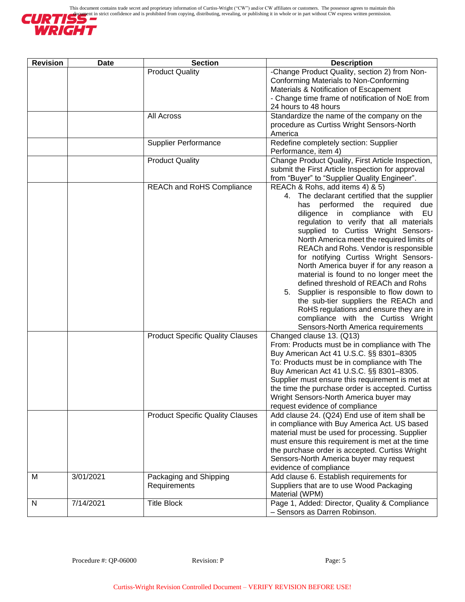

| <b>Revision</b> | <b>Date</b> | <b>Section</b>                          | <b>Description</b>                                                                                                                                                                                                                                                                                                                                                                                                                                                                                                                                                                                                                                                                                                       |
|-----------------|-------------|-----------------------------------------|--------------------------------------------------------------------------------------------------------------------------------------------------------------------------------------------------------------------------------------------------------------------------------------------------------------------------------------------------------------------------------------------------------------------------------------------------------------------------------------------------------------------------------------------------------------------------------------------------------------------------------------------------------------------------------------------------------------------------|
|                 |             | <b>Product Quality</b>                  | -Change Product Quality, section 2) from Non-<br>Conforming Materials to Non-Conforming<br>Materials & Notification of Escapement<br>- Change time frame of notification of NoE from<br>24 hours to 48 hours                                                                                                                                                                                                                                                                                                                                                                                                                                                                                                             |
|                 |             | All Across                              | Standardize the name of the company on the<br>procedure as Curtiss Wright Sensors-North<br>America                                                                                                                                                                                                                                                                                                                                                                                                                                                                                                                                                                                                                       |
|                 |             | <b>Supplier Performance</b>             | Redefine completely section: Supplier<br>Performance, item 4)                                                                                                                                                                                                                                                                                                                                                                                                                                                                                                                                                                                                                                                            |
|                 |             | <b>Product Quality</b>                  | Change Product Quality, First Article Inspection,<br>submit the First Article Inspection for approval<br>from "Buyer" to "Supplier Quality Engineer".                                                                                                                                                                                                                                                                                                                                                                                                                                                                                                                                                                    |
|                 |             | <b>REACh and RoHS Compliance</b>        | REACh & Rohs, add items 4) & 5)<br>4. The declarant certified that the supplier<br>has performed the required<br>due<br>diligence in compliance<br>with<br>EU<br>regulation to verify that all materials<br>supplied to Curtiss Wright Sensors-<br>North America meet the required limits of<br>REACh and Rohs. Vendor is responsible<br>for notifying Curtiss Wright Sensors-<br>North America buyer if for any reason a<br>material is found to no longer meet the<br>defined threshold of REACh and Rohs<br>5. Supplier is responsible to flow down to<br>the sub-tier suppliers the REACh and<br>RoHS regulations and ensure they are in<br>compliance with the Curtiss Wright<br>Sensors-North America requirements |
|                 |             | <b>Product Specific Quality Clauses</b> | Changed clause 13. (Q13)<br>From: Products must be in compliance with The<br>Buy American Act 41 U.S.C. §§ 8301-8305<br>To: Products must be in compliance with The<br>Buy American Act 41 U.S.C. §§ 8301-8305.<br>Supplier must ensure this requirement is met at<br>the time the purchase order is accepted. Curtiss<br>Wright Sensors-North America buyer may<br>request evidence of compliance                                                                                                                                                                                                                                                                                                                       |
|                 |             | <b>Product Specific Quality Clauses</b> | Add clause 24. (Q24) End use of item shall be<br>in compliance with Buy America Act. US based<br>material must be used for processing. Supplier<br>must ensure this requirement is met at the time<br>the purchase order is accepted. Curtiss Wright<br>Sensors-North America buyer may request<br>evidence of compliance                                                                                                                                                                                                                                                                                                                                                                                                |
| М               | 3/01/2021   | Packaging and Shipping<br>Requirements  | Add clause 6. Establish requirements for<br>Suppliers that are to use Wood Packaging<br>Material (WPM)                                                                                                                                                                                                                                                                                                                                                                                                                                                                                                                                                                                                                   |
| N               | 7/14/2021   | <b>Title Block</b>                      | Page 1, Added: Director, Quality & Compliance<br>- Sensors as Darren Robinson.                                                                                                                                                                                                                                                                                                                                                                                                                                                                                                                                                                                                                                           |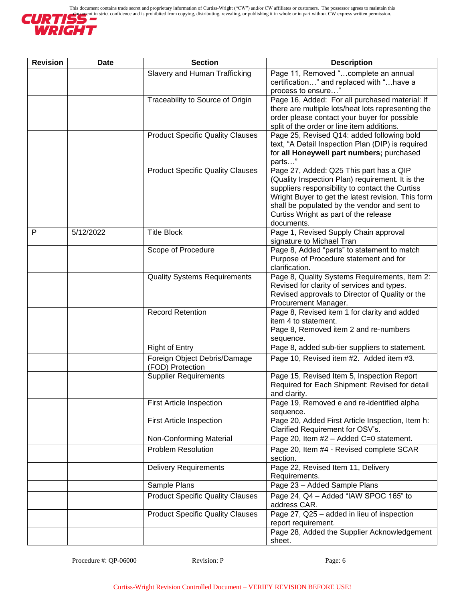

| <b>Revision</b> | <b>Date</b> | <b>Section</b>                                   | <b>Description</b>                                                                                                                                                                                                                                                                                          |
|-----------------|-------------|--------------------------------------------------|-------------------------------------------------------------------------------------------------------------------------------------------------------------------------------------------------------------------------------------------------------------------------------------------------------------|
|                 |             | Slavery and Human Trafficking                    | Page 11, Removed "complete an annual<br>certification" and replaced with "have a<br>process to ensure"                                                                                                                                                                                                      |
|                 |             | Traceability to Source of Origin                 | Page 16, Added: For all purchased material: If<br>there are multiple lots/heat lots representing the<br>order please contact your buyer for possible<br>split of the order or line item additions.                                                                                                          |
|                 |             | <b>Product Specific Quality Clauses</b>          | Page 25, Revised Q14: added following bold<br>text, "A Detail Inspection Plan (DIP) is required<br>for all Honeywell part numbers; purchased<br>parts"                                                                                                                                                      |
|                 |             | <b>Product Specific Quality Clauses</b>          | Page 27, Added: Q25 This part has a QIP<br>(Quality Inspection Plan) requirement. It is the<br>suppliers responsibility to contact the Curtiss<br>Wright Buyer to get the latest revision. This form<br>shall be populated by the vendor and sent to<br>Curtiss Wright as part of the release<br>documents. |
| P               | 5/12/2022   | <b>Title Block</b>                               | Page 1, Revised Supply Chain approval<br>signature to Michael Tran                                                                                                                                                                                                                                          |
|                 |             | Scope of Procedure                               | Page 8, Added "parts" to statement to match<br>Purpose of Procedure statement and for<br>clarification.                                                                                                                                                                                                     |
|                 |             | <b>Quality Systems Requirements</b>              | Page 8, Quality Systems Requirements, Item 2:<br>Revised for clarity of services and types.<br>Revised approvals to Director of Quality or the<br>Procurement Manager.                                                                                                                                      |
|                 |             | <b>Record Retention</b>                          | Page 8, Revised item 1 for clarity and added<br>item 4 to statement.<br>Page 8, Removed item 2 and re-numbers<br>sequence.                                                                                                                                                                                  |
|                 |             | <b>Right of Entry</b>                            | Page 8, added sub-tier suppliers to statement.                                                                                                                                                                                                                                                              |
|                 |             | Foreign Object Debris/Damage<br>(FOD) Protection | Page 10, Revised item #2. Added item #3.                                                                                                                                                                                                                                                                    |
|                 |             | <b>Supplier Requirements</b>                     | Page 15, Revised Item 5, Inspection Report<br>Required for Each Shipment: Revised for detail<br>and clarity.                                                                                                                                                                                                |
|                 |             | <b>First Article Inspection</b>                  | Page 19, Removed e and re-identified alpha<br>sequence.                                                                                                                                                                                                                                                     |
|                 |             | <b>First Article Inspection</b>                  | Page 20, Added First Article Inspection, Item h:<br>Clarified Requirement for OSV's.                                                                                                                                                                                                                        |
|                 |             | Non-Conforming Material                          | Page 20, Item #2 - Added C=0 statement.                                                                                                                                                                                                                                                                     |
|                 |             | <b>Problem Resolution</b>                        | Page 20, Item #4 - Revised complete SCAR<br>section.                                                                                                                                                                                                                                                        |
|                 |             | <b>Delivery Requirements</b>                     | Page 22, Revised Item 11, Delivery<br>Requirements.                                                                                                                                                                                                                                                         |
|                 |             | Sample Plans                                     | Page 23 - Added Sample Plans                                                                                                                                                                                                                                                                                |
|                 |             | <b>Product Specific Quality Clauses</b>          | Page 24, Q4 - Added "IAW SPOC 165" to<br>address CAR.                                                                                                                                                                                                                                                       |
|                 |             | <b>Product Specific Quality Clauses</b>          | Page 27, Q25 - added in lieu of inspection<br>report requirement.<br>Page 28, Added the Supplier Acknowledgement                                                                                                                                                                                            |
|                 |             |                                                  | sheet.                                                                                                                                                                                                                                                                                                      |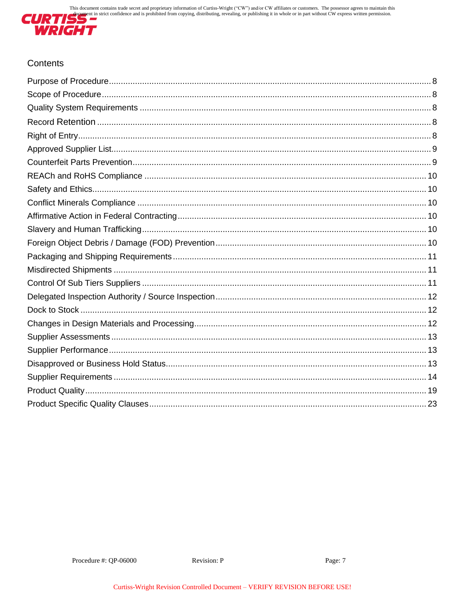

# Contents

<span id="page-6-0"></span>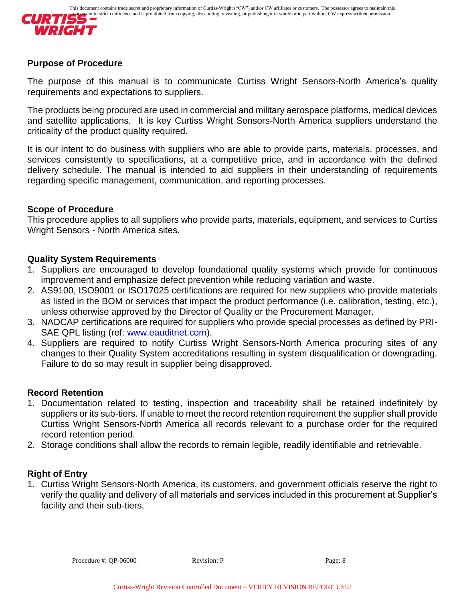

#### **Purpose of Procedure**

The purpose of this manual is to communicate Curtiss Wright Sensors-North America's quality requirements and expectations to suppliers.

The products being procured are used in commercial and military aerospace platforms, medical devices and satellite applications. It is key Curtiss Wright Sensors-North America suppliers understand the criticality of the product quality required.

It is our intent to do business with suppliers who are able to provide parts, materials, processes, and services consistently to specifications, at a competitive price, and in accordance with the defined delivery schedule. The manual is intended to aid suppliers in their understanding of requirements regarding specific management, communication, and reporting processes.

### <span id="page-7-0"></span>**Scope of Procedure**

This procedure applies to all suppliers who provide parts, materials, equipment, and services to Curtiss Wright Sensors - North America sites.

### <span id="page-7-1"></span>**Quality System Requirements**

- 1. Suppliers are encouraged to develop foundational quality systems which provide for continuous improvement and emphasize defect prevention while reducing variation and waste.
- 2. AS9100, ISO9001 or ISO17025 certifications are required for new suppliers who provide materials as listed in the BOM or services that impact the product performance (i.e. calibration, testing, etc.), unless otherwise approved by the Director of Quality or the Procurement Manager.
- 3. NADCAP certifications are required for suppliers who provide special processes as defined by PRISAE QPL listing (ref: [www.eauditnet.com\)](http://www.eauditnet.com/).
- 4. Suppliers are required to notify Curtiss Wright Sensors-North America procuring sites of any changes to their Quality System accreditations resulting in system disqualification or downgrading. Failure to do so may result in supplier being disapproved.

#### <span id="page-7-2"></span>**Record Retention**

- 1. Documentation related to testing, inspection and traceability shall be retained indefinitely by suppliers or its sub-tiers. If unable to meet the record retention requirement the supplier shall provide Curtiss Wright Sensors-North America all records relevant to a purchase order for the required record retention period.
- 2. Storage conditions shall allow the records to remain legible, readily identifiable and retrievable.

### <span id="page-7-3"></span>**Right of Entry**

<span id="page-7-4"></span>1. Curtiss Wright Sensors-North America, its customers, and government officials reserve the right to verify the quality and delivery of all materials and services included in this procurement at Supplier's facility and their sub-tiers.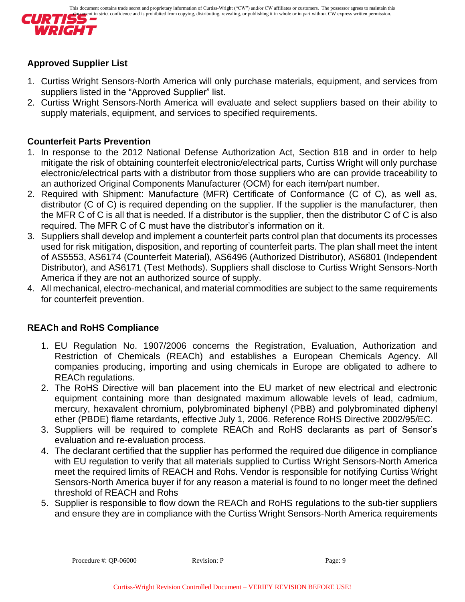

# **Approved Supplier List**

- 1. Curtiss Wright Sensors-North America will only purchase materials, equipment, and services from suppliers listed in the "Approved Supplier" list.
- 2. Curtiss Wright Sensors-North America will evaluate and select suppliers based on their ability to supply materials, equipment, and services to specified requirements.

### <span id="page-8-0"></span>**Counterfeit Parts Prevention**

- 1. In response to the 2012 National Defense Authorization Act, Section 818 and in order to help mitigate the risk of obtaining counterfeit electronic/electrical parts, Curtiss Wright will only purchase electronic/electrical parts with a distributor from those suppliers who are can provide traceability to an authorized Original Components Manufacturer (OCM) for each item/part number.
- 2. Required with Shipment: Manufacture (MFR) Certificate of Conformance (C of C), as well as, distributor (C of C) is required depending on the supplier. If the supplier is the manufacturer, then the MFR C of C is all that is needed. If a distributor is the supplier, then the distributor C of C is also required. The MFR C of C must have the distributor's information on it.
- 3. Suppliers shall develop and implement a counterfeit parts control plan that documents its processes used for risk mitigation, disposition, and reporting of counterfeit parts. The plan shall meet the intent of AS5553, AS6174 (Counterfeit Material), AS6496 (Authorized Distributor), AS6801 (Independent Distributor), and AS6171 (Test Methods). Suppliers shall disclose to Curtiss Wright Sensors-North America if they are not an authorized source of supply.
- 4. All mechanical, electro-mechanical, and material commodities are subject to the same requirements for counterfeit prevention.

# **REACh and RoHS Compliance**

- 1. EU Regulation No. 1907/2006 concerns the Registration, Evaluation, Authorization and Restriction of Chemicals (REACh) and establishes a European Chemicals Agency. All companies producing, importing and using chemicals in Europe are obligated to adhere to REACh regulations.
- 2. The RoHS Directive will ban placement into the EU market of new electrical and electronic equipment containing more than designated maximum allowable levels of lead, cadmium, mercury, hexavalent chromium, polybrominated biphenyl (PBB) and polybrominated diphenyl ether (PBDE) flame retardants, effective July 1, 2006. Reference RoHS Directive 2002/95/EC.
- 3. Suppliers will be required to complete REACh and RoHS declarants as part of Sensor's evaluation and re-evaluation process.
- 4. The declarant certified that the supplier has performed the required due diligence in compliance with EU regulation to verify that all materials supplied to Curtiss Wright Sensors-North America meet the required limits of REACH and Rohs. Vendor is responsible for notifying Curtiss Wright Sensors-North America buyer if for any reason a material is found to no longer meet the defined threshold of REACH and Rohs
- 5. Supplier is responsible to flow down the REACh and RoHS regulations to the sub-tier suppliers and ensure they are in compliance with the Curtiss Wright Sensors-North America requirements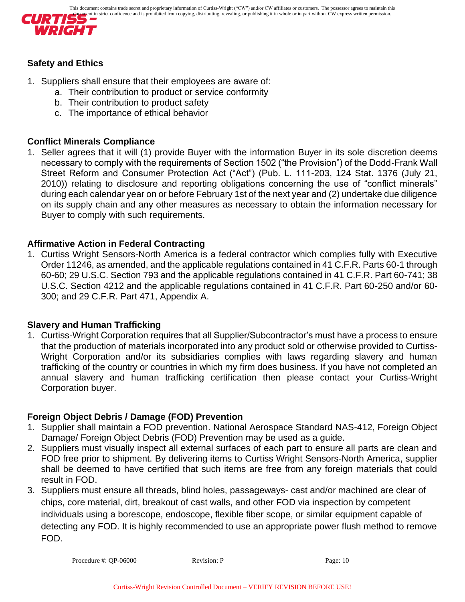

# **Safety and Ethics**

- 1. Suppliers shall ensure that their employees are aware of:
	- a. Their contribution to product or service conformity
	- b. Their contribution to product safety
	- c. The importance of ethical behavior

## **Conflict Minerals Compliance**

1. Seller agrees that it will (1) provide Buyer with the information Buyer in its sole discretion deems necessary to comply with the requirements of Section 1502 ("the Provision") of the Dodd-Frank Wall Street Reform and Consumer Protection Act ("Act") (Pub. L. 111-203, 124 Stat. 1376 (July 21, 2010)) relating to disclosure and reporting obligations concerning the use of "conflict minerals" during each calendar year on or before February 1st of the next year and (2) undertake due diligence on its supply chain and any other measures as necessary to obtain the information necessary for Buyer to comply with such requirements.

# <span id="page-9-0"></span>**Affirmative Action in Federal Contracting**

1. Curtiss Wright Sensors-North America is a federal contractor which complies fully with Executive Order 11246, as amended, and the applicable regulations contained in 41 C.F.R. Parts 60-1 through 60-60; 29 U.S.C. Section 793 and the applicable regulations contained in 41 C.F.R. Part 60-741; 38 U.S.C. Section 4212 and the applicable regulations contained in 41 C.F.R. Part 60-250 and/or 60- 300; and 29 C.F.R. Part 471, Appendix A.

### <span id="page-9-1"></span>**Slavery and Human Trafficking**

1. Curtiss-Wright Corporation requires that all Supplier/Subcontractor's must have a process to ensure that the production of materials incorporated into any product sold or otherwise provided to Curtiss-Wright Corporation and/or its subsidiaries complies with laws regarding slavery and human trafficking of the country or countries in which my firm does business. If you have not completed an annual slavery and human trafficking certification then please contact your Curtiss-Wright Corporation buyer.

# <span id="page-9-2"></span>**Foreign Object Debris / Damage (FOD) Prevention**

- 1. Supplier shall maintain a FOD prevention. National Aerospace Standard NAS-412, Foreign Object Damage/ Foreign Object Debris (FOD) Prevention may be used as a guide.
- 2. Suppliers must visually inspect all external surfaces of each part to ensure all parts are clean and FOD free prior to shipment. By delivering items to Curtiss Wright Sensors-North America, supplier shall be deemed to have certified that such items are free from any foreign materials that could result in FOD.
- 3. Suppliers must ensure all threads, blind holes, passageways- cast and/or machined are clear of chips, core material, dirt, breakout of cast walls, and other FOD via inspection by competent individuals using a borescope, endoscope, flexible fiber scope, or similar equipment capable of detecting any FOD. It is highly recommended to use an appropriate power flush method to remove FOD.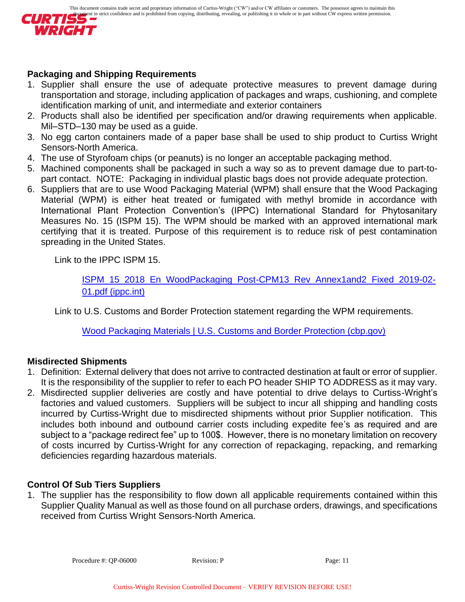

## <span id="page-10-0"></span>**Packaging and Shipping Requirements**

- 1. Supplier shall ensure the use of adequate protective measures to prevent damage during transportation and storage, including application of packages and wraps, cushioning, and complete identification marking of unit, and intermediate and exterior containers
- 2. Products shall also be identified per specification and/or drawing requirements when applicable. Mil–STD–130 may be used as a guide.
- 3. No egg carton containers made of a paper base shall be used to ship product to Curtiss Wright Sensors-North America.
- 4. The use of Styrofoam chips (or peanuts) is no longer an acceptable packaging method.
- 5. Machined components shall be packaged in such a way so as to prevent damage due to part-topart contact. NOTE: Packaging in individual plastic bags does not provide adequate protection.
- 6. Suppliers that are to use Wood Packaging Material (WPM) shall ensure that the Wood Packaging Material (WPM) is either heat treated or fumigated with methyl bromide in accordance with International Plant Protection Convention's (IPPC) International Standard for Phytosanitary Measures No. 15 (ISPM 15). The WPM should be marked with an approved international mark certifying that it is treated. Purpose of this requirement is to reduce risk of pest contamination spreading in the United States.

Link to the IPPC ISPM 15.

[ISPM\\_15\\_2018\\_En\\_WoodPackaging\\_Post-CPM13\\_Rev\\_Annex1and2\\_Fixed\\_2019-02-](https://assets.ippc.int/static/media/files/publication/en/2019/02/ISPM_15_2018_En_WoodPackaging_Post-CPM13_Rev_Annex1and2_Fixed_2019-02-01.pdf) [01.pdf \(ippc.int\)](https://assets.ippc.int/static/media/files/publication/en/2019/02/ISPM_15_2018_En_WoodPackaging_Post-CPM13_Rev_Annex1and2_Fixed_2019-02-01.pdf)

Link to U.S. Customs and Border Protection statement regarding the WPM requirements.

[Wood Packaging Materials | U.S. Customs and Border Protection \(cbp.gov\)](https://www.cbp.gov/border-security/protecting-agriculture/wpm)

# <span id="page-10-1"></span>**Misdirected Shipments**

- 1. Definition: External delivery that does not arrive to contracted destination at fault or error of supplier. It is the responsibility of the supplier to refer to each PO header SHIP TO ADDRESS as it may vary.
- 2. Misdirected supplier deliveries are costly and have potential to drive delays to Curtiss-Wright's factories and valued customers. Suppliers will be subject to incur all shipping and handling costs incurred by Curtiss-Wright due to misdirected shipments without prior Supplier notification. This includes both inbound and outbound carrier costs including expedite fee's as required and are subject to a "package redirect fee" up to 100\$. However, there is no monetary limitation on recovery of costs incurred by Curtiss-Wright for any correction of repackaging, repacking, and remarking deficiencies regarding hazardous materials.

# <span id="page-10-2"></span>**Control Of Sub Tiers Suppliers**

<span id="page-10-3"></span>1. The supplier has the responsibility to flow down all applicable requirements contained within this Supplier Quality Manual as well as those found on all purchase orders, drawings, and specifications received from Curtiss Wright Sensors-North America.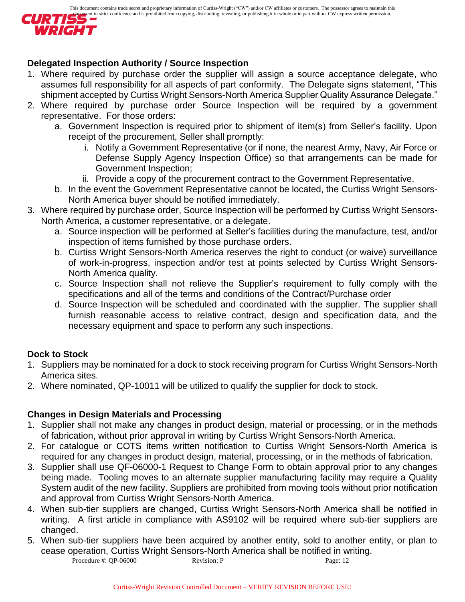

# **Delegated Inspection Authority / Source Inspection**

- 1. Where required by purchase order the supplier will assign a source acceptance delegate, who assumes full responsibility for all aspects of part conformity. The Delegate signs statement, "This shipment accepted by Curtiss Wright Sensors-North America Supplier Quality Assurance Delegate."
- 2. Where required by purchase order Source Inspection will be required by a government representative. For those orders:
	- a. Government Inspection is required prior to shipment of item(s) from Seller's facility. Upon receipt of the procurement, Seller shall promptly:
		- i. Notify a Government Representative (or if none, the nearest Army, Navy, Air Force or Defense Supply Agency Inspection Office) so that arrangements can be made for Government Inspection;
		- ii. Provide a copy of the procurement contract to the Government Representative.
	- b. In the event the Government Representative cannot be located, the Curtiss Wright Sensors-North America buyer should be notified immediately.
- 3. Where required by purchase order, Source Inspection will be performed by Curtiss Wright Sensors-North America, a customer representative, or a delegate.
	- a. Source inspection will be performed at Seller's facilities during the manufacture, test, and/or inspection of items furnished by those purchase orders.
	- b. Curtiss Wright Sensors-North America reserves the right to conduct (or waive) surveillance of work-in-progress, inspection and/or test at points selected by Curtiss Wright Sensors-North America quality.
	- c. Source Inspection shall not relieve the Supplier's requirement to fully comply with the specifications and all of the terms and conditions of the Contract/Purchase order
	- d. Source Inspection will be scheduled and coordinated with the supplier. The supplier shall furnish reasonable access to relative contract, design and specification data, and the necessary equipment and space to perform any such inspections.

# <span id="page-11-0"></span>**Dock to Stock**

- 1. Suppliers may be nominated for a dock to stock receiving program for Curtiss Wright Sensors-North America sites.
- 2. Where nominated, QP-10011 will be utilized to qualify the supplier for dock to stock.

# <span id="page-11-1"></span>**Changes in Design Materials and Processing**

- 1. Supplier shall not make any changes in product design, material or processing, or in the methods of fabrication, without prior approval in writing by Curtiss Wright Sensors-North America.
- 2. For catalogue or COTS items written notification to Curtiss Wright Sensors-North America is required for any changes in product design, material, processing, or in the methods of fabrication.
- 3. Supplier shall use QF-06000-1 Request to Change Form to obtain approval prior to any changes being made. Tooling moves to an alternate supplier manufacturing facility may require a Quality System audit of the new facility. Suppliers are prohibited from moving tools without prior notification and approval from Curtiss Wright Sensors-North America.
- 4. When sub-tier suppliers are changed, Curtiss Wright Sensors-North America shall be notified in writing. A first article in compliance with AS9102 will be required where sub-tier suppliers are changed.
- Procedure #: QP-06000 Revision: P Page: 12 5. When sub-tier suppliers have been acquired by another entity, sold to another entity, or plan to cease operation, Curtiss Wright Sensors-North America shall be notified in writing.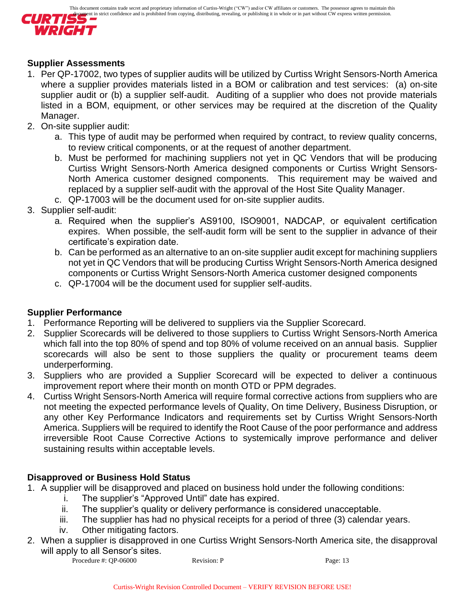

### <span id="page-12-0"></span>**Supplier Assessments**

- 1. Per QP-17002, two types of supplier audits will be utilized by Curtiss Wright Sensors-North America where a supplier provides materials listed in a BOM or calibration and test services: (a) on-site supplier audit or (b) a supplier self-audit. Auditing of a supplier who does not provide materials listed in a BOM, equipment, or other services may be required at the discretion of the Quality Manager.
- 2. On-site supplier audit:
	- a. This type of audit may be performed when required by contract, to review quality concerns, to review critical components, or at the request of another department.
	- b. Must be performed for machining suppliers not yet in QC Vendors that will be producing Curtiss Wright Sensors-North America designed components or Curtiss Wright Sensors-North America customer designed components. This requirement may be waived and replaced by a supplier self-audit with the approval of the Host Site Quality Manager.
	- c. QP-17003 will be the document used for on-site supplier audits.
- 3. Supplier self-audit:
	- a. Required when the supplier's AS9100, ISO9001, NADCAP, or equivalent certification expires. When possible, the self-audit form will be sent to the supplier in advance of their certificate's expiration date.
	- b. Can be performed as an alternative to an on-site supplier audit except for machining suppliers not yet in QC Vendors that will be producing Curtiss Wright Sensors-North America designed components or Curtiss Wright Sensors-North America customer designed components
	- c. QP-17004 will be the document used for supplier self-audits.

# <span id="page-12-1"></span>**Supplier Performance**

- 1. Performance Reporting will be delivered to suppliers via the Supplier Scorecard.
- 2. Supplier Scorecards will be delivered to those suppliers to Curtiss Wright Sensors-North America which fall into the top 80% of spend and top 80% of volume received on an annual basis. Supplier scorecards will also be sent to those suppliers the quality or procurement teams deem underperforming.
- 3. Suppliers who are provided a Supplier Scorecard will be expected to deliver a continuous improvement report where their month on month OTD or PPM degrades.
- 4. Curtiss Wright Sensors-North America will require formal corrective actions from suppliers who are not meeting the expected performance levels of Quality, On time Delivery, Business Disruption, or any other Key Performance Indicators and requirements set by Curtiss Wright Sensors-North America. Suppliers will be required to identify the Root Cause of the poor performance and address irreversible Root Cause Corrective Actions to systemically improve performance and deliver sustaining results within acceptable levels.

# <span id="page-12-2"></span>**Disapproved or Business Hold Status**

- 1. A supplier will be disapproved and placed on business hold under the following conditions:
	- i. The supplier's "Approved Until" date has expired.
	- ii. The supplier's quality or delivery performance is considered unacceptable.
	- iii. The supplier has had no physical receipts for a period of three (3) calendar years.
	- iv. Other mitigating factors.
- 2. When a supplier is disapproved in one Curtiss Wright Sensors-North America site, the disapproval will apply to all Sensor's sites.

```
Procedure #: QP-06000 Revision: P Page: 13
```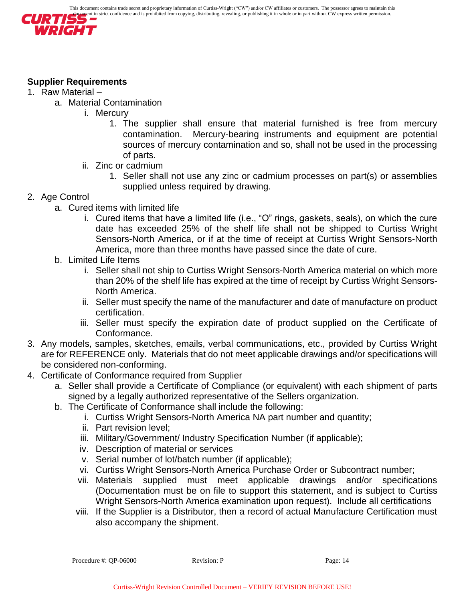

# <span id="page-13-0"></span>**Supplier Requirements**

- 1. Raw Material
	- a. Material Contamination
		- i. Mercury
			- 1. The supplier shall ensure that material furnished is free from mercury contamination. Mercury-bearing instruments and equipment are potential sources of mercury contamination and so, shall not be used in the processing of parts.
		- ii. Zinc or cadmium
			- 1. Seller shall not use any zinc or cadmium processes on part(s) or assemblies supplied unless required by drawing.
- 2. Age Control
	- a. Cured items with limited life
		- i. Cured items that have a limited life (i.e., "O" rings, gaskets, seals), on which the cure date has exceeded 25% of the shelf life shall not be shipped to Curtiss Wright Sensors-North America, or if at the time of receipt at Curtiss Wright Sensors-North America, more than three months have passed since the date of cure.
	- b. Limited Life Items
		- i. Seller shall not ship to Curtiss Wright Sensors-North America material on which more than 20% of the shelf life has expired at the time of receipt by Curtiss Wright Sensors-North America.
		- ii. Seller must specify the name of the manufacturer and date of manufacture on product certification.
		- iii. Seller must specify the expiration date of product supplied on the Certificate of Conformance.
- 3. Any models, samples, sketches, emails, verbal communications, etc., provided by Curtiss Wright are for REFERENCE only. Materials that do not meet applicable drawings and/or specifications will be considered non-conforming.
- 4. Certificate of Conformance required from Supplier
	- a. Seller shall provide a Certificate of Compliance (or equivalent) with each shipment of parts signed by a legally authorized representative of the Sellers organization.
	- b. The Certificate of Conformance shall include the following:
		- i. Curtiss Wright Sensors-North America NA part number and quantity;
		- ii. Part revision level;
		- iii. Military/Government/ Industry Specification Number (if applicable);
		- iv. Description of material or services
		- v. Serial number of lot/batch number (if applicable);
		- vi. Curtiss Wright Sensors-North America Purchase Order or Subcontract number;
		- vii. Materials supplied must meet applicable drawings and/or specifications (Documentation must be on file to support this statement, and is subject to Curtiss Wright Sensors-North America examination upon request). Include all certifications
		- viii. If the Supplier is a Distributor, then a record of actual Manufacture Certification must also accompany the shipment.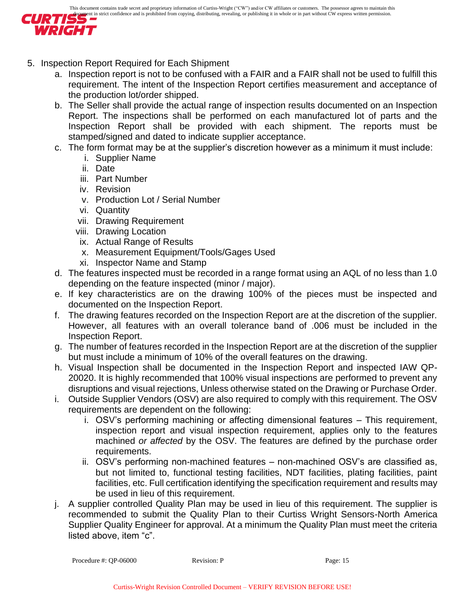

- 5. Inspection Report Required for Each Shipment
	- a. Inspection report is not to be confused with a FAIR and a FAIR shall not be used to fulfill this requirement. The intent of the Inspection Report certifies measurement and acceptance of the production lot/order shipped.
	- b. The Seller shall provide the actual range of inspection results documented on an Inspection Report. The inspections shall be performed on each manufactured lot of parts and the Inspection Report shall be provided with each shipment. The reports must be stamped/signed and dated to indicate supplier acceptance.
	- c. The form format may be at the supplier's discretion however as a minimum it must include:
		- i. Supplier Name
		- ii. Date
		- iii. Part Number
		- iv. Revision
		- v. Production Lot / Serial Number
		- vi. Quantity
		- vii. Drawing Requirement
		- viii. Drawing Location
		- ix. Actual Range of Results
		- x. Measurement Equipment/Tools/Gages Used
		- xi. Inspector Name and Stamp
	- d. The features inspected must be recorded in a range format using an AQL of no less than 1.0 depending on the feature inspected (minor / major).
	- e. If key characteristics are on the drawing 100% of the pieces must be inspected and documented on the Inspection Report.
	- f. The drawing features recorded on the Inspection Report are at the discretion of the supplier. However, all features with an overall tolerance band of .006 must be included in the Inspection Report.
	- g. The number of features recorded in the Inspection Report are at the discretion of the supplier but must include a minimum of 10% of the overall features on the drawing.
	- h. Visual Inspection shall be documented in the Inspection Report and inspected IAW QP-20020. It is highly recommended that 100% visual inspections are performed to prevent any disruptions and visual rejections, Unless otherwise stated on the Drawing or Purchase Order.
	- i. Outside Supplier Vendors (OSV) are also required to comply with this requirement. The OSV requirements are dependent on the following:
		- i. OSV's performing machining or affecting dimensional features This requirement, inspection report and visual inspection requirement, applies only to the features machined *or affected* by the OSV. The features are defined by the purchase order requirements.
		- ii. OSV's performing non-machined features non-machined OSV's are classified as, but not limited to, functional testing facilities, NDT facilities, plating facilities, paint facilities, etc. Full certification identifying the specification requirement and results may be used in lieu of this requirement.
	- j. A supplier controlled Quality Plan may be used in lieu of this requirement. The supplier is recommended to submit the Quality Plan to their Curtiss Wright Sensors-North America Supplier Quality Engineer for approval. At a minimum the Quality Plan must meet the criteria listed above, item "c".

```
Procedure #: QP-06000 Revision: P Page: 15
```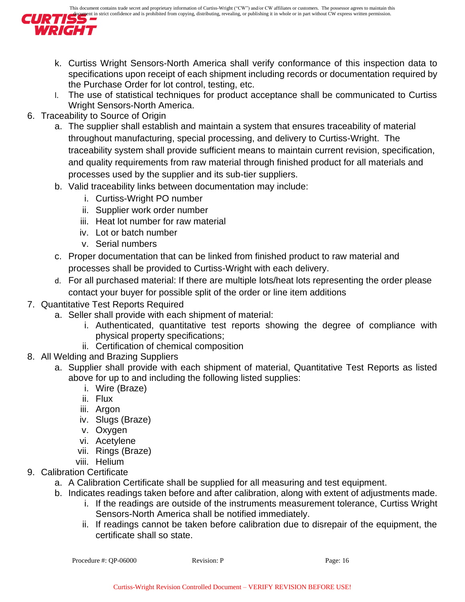

- k. Curtiss Wright Sensors-North America shall verify conformance of this inspection data to specifications upon receipt of each shipment including records or documentation required by the Purchase Order for lot control, testing, etc.
- l. The use of statistical techniques for product acceptance shall be communicated to Curtiss Wright Sensors-North America.
- 6. Traceability to Source of Origin
	- a. The supplier shall establish and maintain a system that ensures traceability of material throughout manufacturing, special processing, and delivery to Curtiss-Wright. The traceability system shall provide sufficient means to maintain current revision, specification, and quality requirements from raw material through finished product for all materials and processes used by the supplier and its sub-tier suppliers.
	- b. Valid traceability links between documentation may include:
		- i. Curtiss-Wright PO number
		- ii. Supplier work order number
		- iii. Heat lot number for raw material
		- iv. Lot or batch number
		- v. Serial numbers
	- c. Proper documentation that can be linked from finished product to raw material and processes shall be provided to Curtiss-Wright with each delivery.
	- d. For all purchased material: If there are multiple lots/heat lots representing the order please contact your buyer for possible split of the order or line item additions
- 7. Quantitative Test Reports Required
	- a. Seller shall provide with each shipment of material:
		- i. Authenticated, quantitative test reports showing the degree of compliance with physical property specifications;
		- ii. Certification of chemical composition
- 8. All Welding and Brazing Suppliers
	- a. Supplier shall provide with each shipment of material, Quantitative Test Reports as listed above for up to and including the following listed supplies:
		- i. Wire (Braze)
		- ii. Flux
		- iii. Argon
		- iv. Slugs (Braze)
		- v. Oxygen
		- vi. Acetylene
		- vii. Rings (Braze)
		- viii. Helium
- 9. Calibration Certificate
	- a. A Calibration Certificate shall be supplied for all measuring and test equipment.
	- b. Indicates readings taken before and after calibration, along with extent of adjustments made.
		- i. If the readings are outside of the instruments measurement tolerance, Curtiss Wright Sensors-North America shall be notified immediately.
		- ii. If readings cannot be taken before calibration due to disrepair of the equipment, the certificate shall so state.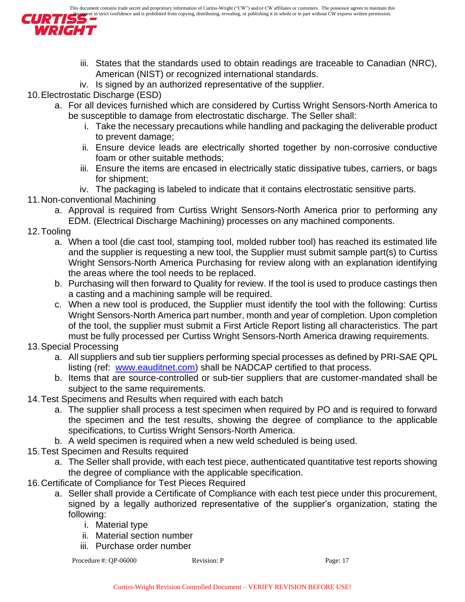

- iii. States that the standards used to obtain readings are traceable to Canadian (NRC), American (NIST) or recognized international standards.
- iv. Is signed by an authorized representative of the supplier.

10.Electrostatic Discharge (ESD)

- a. For all devices furnished which are considered by Curtiss Wright Sensors-North America to be susceptible to damage from electrostatic discharge. The Seller shall:
	- i. Take the necessary precautions while handling and packaging the deliverable product to prevent damage;
	- ii. Ensure device leads are electrically shorted together by non-corrosive conductive foam or other suitable methods;
	- iii. Ensure the items are encased in electrically static dissipative tubes, carriers, or bags for shipment;
	- iv. The packaging is labeled to indicate that it contains electrostatic sensitive parts.

# 11.Non-conventional Machining

a. Approval is required from Curtiss Wright Sensors-North America prior to performing any EDM. (Electrical Discharge Machining) processes on any machined components.

# 12.Tooling

- a. When a tool (die cast tool, stamping tool, molded rubber tool) has reached its estimated life and the supplier is requesting a new tool, the Supplier must submit sample part(s) to Curtiss Wright Sensors-North America Purchasing for review along with an explanation identifying the areas where the tool needs to be replaced.
- b. Purchasing will then forward to Quality for review. If the tool is used to produce castings then a casting and a machining sample will be required.
- c. When a new tool is produced, the Supplier must identify the tool with the following: Curtiss Wright Sensors-North America part number, month and year of completion. Upon completion of the tool, the supplier must submit a First Article Report listing all characteristics. The part must be fully processed per Curtiss Wright Sensors-North America drawing requirements.
- 13.Special Processing
	- a. All suppliers and sub tier suppliers performing special processes as defined by PRI-SAE QPL listing (ref: [www.eauditnet.com\)](http://www.eauditnet.com/) shall be NADCAP certified to that process.
	- b. Items that are source-controlled or sub-tier suppliers that are customer-mandated shall be subject to the same requirements.
- 14.Test Specimens and Results when required with each batch
	- a. The supplier shall process a test specimen when required by PO and is required to forward the specimen and the test results, showing the degree of compliance to the applicable specifications, to Curtiss Wright Sensors-North America.
	- b. A weld specimen is required when a new weld scheduled is being used.
- 15.Test Specimen and Results required
	- a. The Seller shall provide, with each test piece, authenticated quantitative test reports showing the degree of compliance with the applicable specification.
- 16.Certificate of Compliance for Test Pieces Required
	- a. Seller shall provide a Certificate of Compliance with each test piece under this procurement, signed by a legally authorized representative of the supplier's organization, stating the following:
		- i. Material type
		- ii. Material section number
		- iii. Purchase order number

```
Procedure #: QP-06000 Revision: P Page: 17
```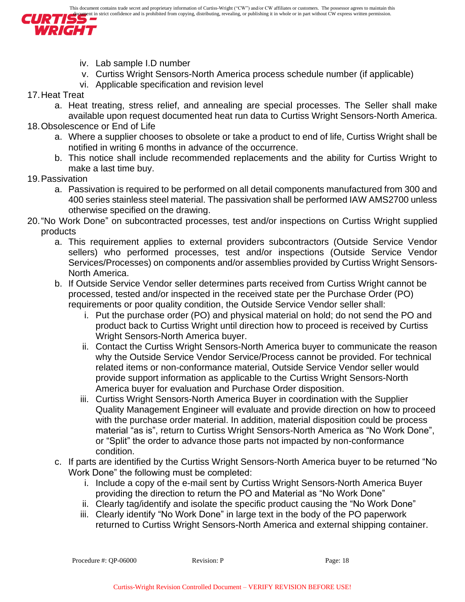

- iv. Lab sample I.D number
- v. Curtiss Wright Sensors-North America process schedule number (if applicable)
- vi. Applicable specification and revision level
- 17.Heat Treat
	- a. Heat treating, stress relief, and annealing are special processes. The Seller shall make available upon request documented heat run data to Curtiss Wright Sensors-North America.
- 18.Obsolescence or End of Life
	- a. Where a supplier chooses to obsolete or take a product to end of life, Curtiss Wright shall be notified in writing 6 months in advance of the occurrence.
	- b. This notice shall include recommended replacements and the ability for Curtiss Wright to make a last time buy.
- 19.Passivation
	- a. Passivation is required to be performed on all detail components manufactured from 300 and 400 series stainless steel material. The passivation shall be performed IAW AMS2700 unless otherwise specified on the drawing.
- <span id="page-17-0"></span>20."No Work Done" on subcontracted processes, test and/or inspections on Curtiss Wright supplied products
	- a. This requirement applies to external providers subcontractors (Outside Service Vendor sellers) who performed processes, test and/or inspections (Outside Service Vendor Services/Processes) on components and/or assemblies provided by Curtiss Wright Sensors-North America.
	- b. If Outside Service Vendor seller determines parts received from Curtiss Wright cannot be processed, tested and/or inspected in the received state per the Purchase Order (PO) requirements or poor quality condition, the Outside Service Vendor seller shall:
		- i. Put the purchase order (PO) and physical material on hold; do not send the PO and product back to Curtiss Wright until direction how to proceed is received by Curtiss Wright Sensors-North America buyer.
		- ii. Contact the Curtiss Wright Sensors-North America buyer to communicate the reason why the Outside Service Vendor Service/Process cannot be provided. For technical related items or non-conformance material, Outside Service Vendor seller would provide support information as applicable to the Curtiss Wright Sensors-North America buyer for evaluation and Purchase Order disposition.
		- iii. Curtiss Wright Sensors-North America Buyer in coordination with the Supplier Quality Management Engineer will evaluate and provide direction on how to proceed with the purchase order material. In addition, material disposition could be process material "as is", return to Curtiss Wright Sensors-North America as "No Work Done", or "Split" the order to advance those parts not impacted by non-conformance condition.
	- c. If parts are identified by the Curtiss Wright Sensors-North America buyer to be returned "No Work Done" the following must be completed:
		- i. Include a copy of the e-mail sent by Curtiss Wright Sensors-North America Buyer providing the direction to return the PO and Material as "No Work Done"
		- ii. Clearly tag/identify and isolate the specific product causing the "No Work Done"
		- iii. Clearly identify "No Work Done" in large text in the body of the PO paperwork returned to Curtiss Wright Sensors-North America and external shipping container.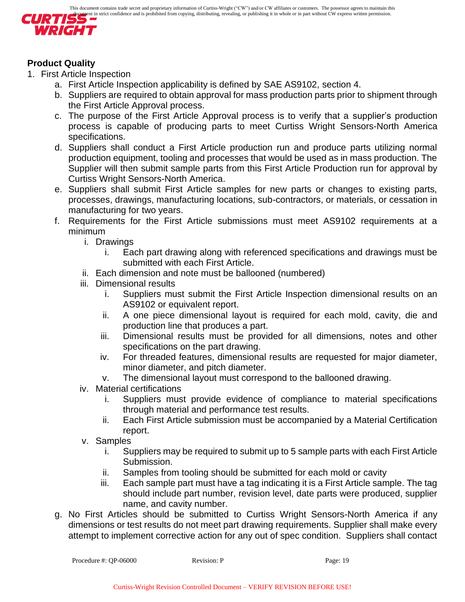

# **Product Quality**

- 1. First Article Inspection
	- a. First Article Inspection applicability is defined by SAE AS9102, section 4.
	- b. Suppliers are required to obtain approval for mass production parts prior to shipment through the First Article Approval process.
	- c. The purpose of the First Article Approval process is to verify that a supplier's production process is capable of producing parts to meet Curtiss Wright Sensors-North America specifications.
	- d. Suppliers shall conduct a First Article production run and produce parts utilizing normal production equipment, tooling and processes that would be used as in mass production. The Supplier will then submit sample parts from this First Article Production run for approval by Curtiss Wright Sensors-North America.
	- e. Suppliers shall submit First Article samples for new parts or changes to existing parts, processes, drawings, manufacturing locations, sub-contractors, or materials, or cessation in manufacturing for two years.
	- f. Requirements for the First Article submissions must meet AS9102 requirements at a minimum
		- i. Drawings
			- i. Each part drawing along with referenced specifications and drawings must be submitted with each First Article.
		- ii. Each dimension and note must be ballooned (numbered)
		- iii. Dimensional results
			- i. Suppliers must submit the First Article Inspection dimensional results on an AS9102 or equivalent report.
			- ii. A one piece dimensional layout is required for each mold, cavity, die and production line that produces a part.
			- iii. Dimensional results must be provided for all dimensions, notes and other specifications on the part drawing.
			- iv. For threaded features, dimensional results are requested for major diameter, minor diameter, and pitch diameter.
			- v. The dimensional layout must correspond to the ballooned drawing.
		- iv. Material certifications
			- i. Suppliers must provide evidence of compliance to material specifications through material and performance test results.
			- ii. Each First Article submission must be accompanied by a Material Certification report.
		- v. Samples
			- i. Suppliers may be required to submit up to 5 sample parts with each First Article Submission.
			- ii. Samples from tooling should be submitted for each mold or cavity
			- iii. Each sample part must have a tag indicating it is a First Article sample. The tag should include part number, revision level, date parts were produced, supplier name, and cavity number.
	- g. No First Articles should be submitted to Curtiss Wright Sensors-North America if any dimensions or test results do not meet part drawing requirements. Supplier shall make every attempt to implement corrective action for any out of spec condition. Suppliers shall contact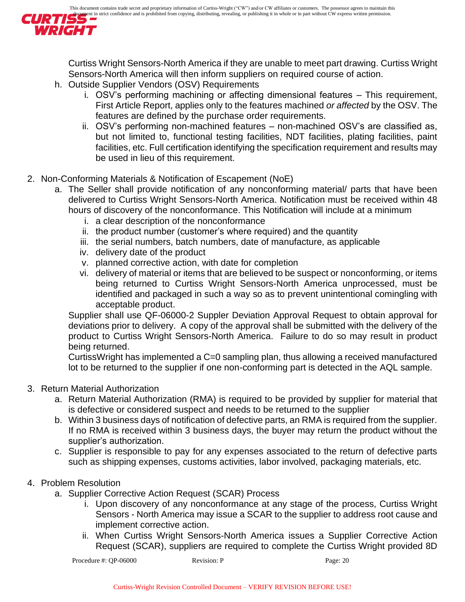

Curtiss Wright Sensors-North America if they are unable to meet part drawing. Curtiss Wright Sensors-North America will then inform suppliers on required course of action.

- h. Outside Supplier Vendors (OSV) Requirements
	- i. OSV's performing machining or affecting dimensional features This requirement, First Article Report, applies only to the features machined *or affected* by the OSV. The features are defined by the purchase order requirements.
	- ii. OSV's performing non-machined features non-machined OSV's are classified as, but not limited to, functional testing facilities, NDT facilities, plating facilities, paint facilities, etc. Full certification identifying the specification requirement and results may be used in lieu of this requirement.
- 2. Non-Conforming Materials & Notification of Escapement (NoE)
	- a. The Seller shall provide notification of any nonconforming material/ parts that have been delivered to Curtiss Wright Sensors-North America. Notification must be received within 48 hours of discovery of the nonconformance. This Notification will include at a minimum
		- i. a clear description of the nonconformance
		- ii. the product number (customer's where required) and the quantity
		- iii. the serial numbers, batch numbers, date of manufacture, as applicable
		- iv. delivery date of the product
		- v. planned corrective action, with date for completion
		- vi. delivery of material or items that are believed to be suspect or nonconforming, or items being returned to Curtiss Wright Sensors-North America unprocessed, must be identified and packaged in such a way so as to prevent unintentional comingling with acceptable product.

Supplier shall use QF-06000-2 Suppler Deviation Approval Request to obtain approval for deviations prior to delivery. A copy of the approval shall be submitted with the delivery of the product to Curtiss Wright Sensors-North America. Failure to do so may result in product being returned.

CurtissWright has implemented a C=0 sampling plan, thus allowing a received manufactured lot to be returned to the supplier if one non-conforming part is detected in the AQL sample.

### 3. Return Material Authorization

- a. Return Material Authorization (RMA) is required to be provided by supplier for material that is defective or considered suspect and needs to be returned to the supplier
- b. Within 3 business days of notification of defective parts, an RMA is required from the supplier. If no RMA is received within 3 business days, the buyer may return the product without the supplier's authorization.
- c. Supplier is responsible to pay for any expenses associated to the return of defective parts such as shipping expenses, customs activities, labor involved, packaging materials, etc.

# 4. Problem Resolution

- a. Supplier Corrective Action Request (SCAR) Process
	- i. Upon discovery of any nonconformance at any stage of the process, Curtiss Wright Sensors - North America may issue a SCAR to the supplier to address root cause and implement corrective action.
	- ii. When Curtiss Wright Sensors-North America issues a Supplier Corrective Action Request (SCAR), suppliers are required to complete the Curtiss Wright provided 8D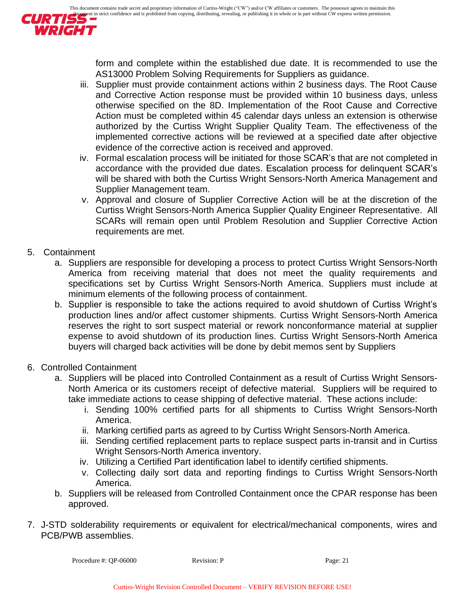

form and complete within the established due date. It is recommended to use the AS13000 Problem Solving Requirements for Suppliers as guidance.

- iii. Supplier must provide containment actions within 2 business days. The Root Cause and Corrective Action response must be provided within 10 business days, unless otherwise specified on the 8D. Implementation of the Root Cause and Corrective Action must be completed within 45 calendar days unless an extension is otherwise authorized by the Curtiss Wright Supplier Quality Team. The effectiveness of the implemented corrective actions will be reviewed at a specified date after objective evidence of the corrective action is received and approved.
- iv. Formal escalation process will be initiated for those SCAR's that are not completed in accordance with the provided due dates. Escalation process for delinquent SCAR's will be shared with both the Curtiss Wright Sensors-North America Management and Supplier Management team.
- v. Approval and closure of Supplier Corrective Action will be at the discretion of the Curtiss Wright Sensors-North America Supplier Quality Engineer Representative. All SCARs will remain open until Problem Resolution and Supplier Corrective Action requirements are met.

# 5. Containment

- a. Suppliers are responsible for developing a process to protect Curtiss Wright Sensors-North America from receiving material that does not meet the quality requirements and specifications set by Curtiss Wright Sensors-North America. Suppliers must include at minimum elements of the following process of containment.
- b. Supplier is responsible to take the actions required to avoid shutdown of Curtiss Wright's production lines and/or affect customer shipments. Curtiss Wright Sensors-North America reserves the right to sort suspect material or rework nonconformance material at supplier expense to avoid shutdown of its production lines. Curtiss Wright Sensors-North America buyers will charged back activities will be done by debit memos sent by Suppliers
- 6. Controlled Containment
	- a. Suppliers will be placed into Controlled Containment as a result of Curtiss Wright Sensors-North America or its customers receipt of defective material. Suppliers will be required to take immediate actions to cease shipping of defective material. These actions include:
		- i. Sending 100% certified parts for all shipments to Curtiss Wright Sensors-North America.
		- ii. Marking certified parts as agreed to by Curtiss Wright Sensors-North America.
		- iii. Sending certified replacement parts to replace suspect parts in-transit and in Curtiss Wright Sensors-North America inventory.
		- iv. Utilizing a Certified Part identification label to identify certified shipments.
		- v. Collecting daily sort data and reporting findings to Curtiss Wright Sensors-North America.
	- b. Suppliers will be released from Controlled Containment once the CPAR response has been approved.
- 7. J-STD solderability requirements or equivalent for electrical/mechanical components, wires and PCB/PWB assemblies.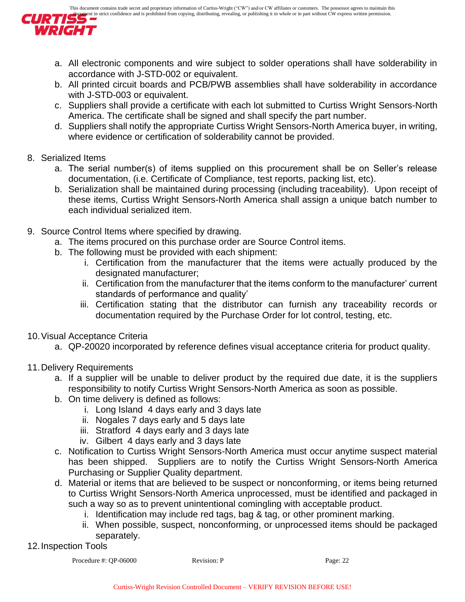

- a. All electronic components and wire subject to solder operations shall have solderability in accordance with J-STD-002 or equivalent.
- b. All printed circuit boards and PCB/PWB assemblies shall have solderability in accordance with J-STD-003 or equivalent.
- c. Suppliers shall provide a certificate with each lot submitted to Curtiss Wright Sensors-North America. The certificate shall be signed and shall specify the part number.
- d. Suppliers shall notify the appropriate Curtiss Wright Sensors-North America buyer, in writing, where evidence or certification of solderability cannot be provided.

# 8. Serialized Items

- a. The serial number(s) of items supplied on this procurement shall be on Seller's release documentation, (i.e. Certificate of Compliance, test reports, packing list, etc).
- b. Serialization shall be maintained during processing (including traceability). Upon receipt of these items, Curtiss Wright Sensors-North America shall assign a unique batch number to each individual serialized item.
- 9. Source Control Items where specified by drawing.
	- a. The items procured on this purchase order are Source Control items.
	- b. The following must be provided with each shipment:
		- i. Certification from the manufacturer that the items were actually produced by the designated manufacturer;
		- ii. Certification from the manufacturer that the items conform to the manufacturer' current standards of performance and quality'
		- iii. Certification stating that the distributor can furnish any traceability records or documentation required by the Purchase Order for lot control, testing, etc.
- 10.Visual Acceptance Criteria
	- a. QP-20020 incorporated by reference defines visual acceptance criteria for product quality.
- 11.Delivery Requirements
	- a. If a supplier will be unable to deliver product by the required due date, it is the suppliers responsibility to notify Curtiss Wright Sensors-North America as soon as possible.
	- b. On time delivery is defined as follows:
		- i. Long Island 4 days early and 3 days late
		- ii. Nogales 7 days early and 5 days late
		- iii. Stratford 4 days early and 3 days late
		- iv. Gilbert 4 days early and 3 days late
	- c. Notification to Curtiss Wright Sensors-North America must occur anytime suspect material has been shipped. Suppliers are to notify the Curtiss Wright Sensors-North America Purchasing or Supplier Quality department.
	- d. Material or items that are believed to be suspect or nonconforming, or items being returned to Curtiss Wright Sensors-North America unprocessed, must be identified and packaged in such a way so as to prevent unintentional comingling with acceptable product.
		- i. Identification may include red tags, bag & tag, or other prominent marking.
		- ii. When possible, suspect, nonconforming, or unprocessed items should be packaged separately.

# 12.Inspection Tools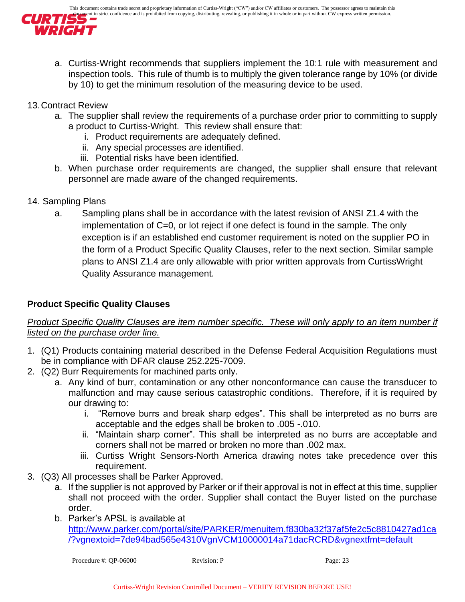

- a. Curtiss-Wright recommends that suppliers implement the 10:1 rule with measurement and inspection tools. This rule of thumb is to multiply the given tolerance range by 10% (or divide by 10) to get the minimum resolution of the measuring device to be used.
- 13.Contract Review
	- a. The supplier shall review the requirements of a purchase order prior to committing to supply a product to Curtiss-Wright. This review shall ensure that:
		- i. Product requirements are adequately defined.
		- ii. Any special processes are identified.
		- iii. Potential risks have been identified.
	- b. When purchase order requirements are changed, the supplier shall ensure that relevant personnel are made aware of the changed requirements.
- 14. Sampling Plans
	- a. Sampling plans shall be in accordance with the latest revision of ANSI Z1.4 with the implementation of C=0, or lot reject if one defect is found in the sample. The only exception is if an established end customer requirement is noted on the supplier PO in the form of a Product Specific Quality Clauses, refer to the next section. Similar sample plans to ANSI Z1.4 are only allowable with prior written approvals from CurtissWright Quality Assurance management.

# <span id="page-22-0"></span>**Product Specific Quality Clauses**

# *Product Specific Quality Clauses are item number specific. These will only apply to an item number if listed on the purchase order line.*

- 1. (Q1) Products containing material described in the Defense Federal Acquisition Regulations must be in compliance with DFAR clause 252.225-7009.
- 2. (Q2) Burr Requirements for machined parts only.
	- a. Any kind of burr, contamination or any other nonconformance can cause the transducer to malfunction and may cause serious catastrophic conditions. Therefore, if it is required by our drawing to:
		- i. "Remove burrs and break sharp edges". This shall be interpreted as no burrs are acceptable and the edges shall be broken to .005 -.010.
		- ii. "Maintain sharp corner". This shall be interpreted as no burrs are acceptable and corners shall not be marred or broken no more than .002 max.
		- iii. Curtiss Wright Sensors-North America drawing notes take precedence over this requirement.
- 3. (Q3) All processes shall be Parker Approved.
	- a. If the supplier is not approved by Parker or if their approval is not in effect at this time, supplier shall not proceed with the order. Supplier shall contact the Buyer listed on the purchase order.
	- b. Parker's APSL is available at [http://www.parker.com/portal/site/PARKER/menuitem.f830ba32f37af5fe2c5c8810427ad1ca](http://www.parker.com/portal/site/PARKER/menuitem.f830ba32f37af5fe2c5c8810427ad1ca/?vgnextoid=7de94bad565e4310VgnVCM10000014a71dacRCRD&vgnextfmt=default) [/?vgnextoid=7de94bad565e4310VgnVCM10000014a71dacRCRD&vgnextfmt=default](http://www.parker.com/portal/site/PARKER/menuitem.f830ba32f37af5fe2c5c8810427ad1ca/?vgnextoid=7de94bad565e4310VgnVCM10000014a71dacRCRD&vgnextfmt=default)

```
Procedure #: QP-06000 Revision: P Page: 23
```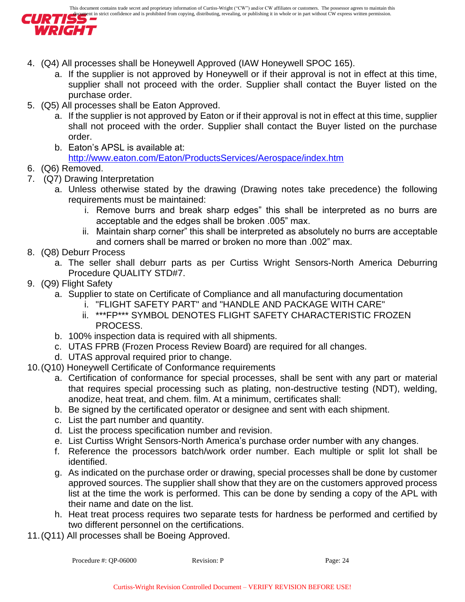

- 4. (Q4) All processes shall be Honeywell Approved (IAW Honeywell SPOC 165).
	- a. If the supplier is not approved by Honeywell or if their approval is not in effect at this time, supplier shall not proceed with the order. Supplier shall contact the Buyer listed on the purchase order.
- 5. (Q5) All processes shall be Eaton Approved.
	- a. If the supplier is not approved by Eaton or if their approval is not in effect at this time, supplier shall not proceed with the order. Supplier shall contact the Buyer listed on the purchase order.
	- b. Eaton's APSL is available at: <http://www.eaton.com/Eaton/ProductsServices/Aerospace/index.htm>
- 6. (Q6) Removed.
- 7. (Q7) Drawing Interpretation
	- a. Unless otherwise stated by the drawing (Drawing notes take precedence) the following requirements must be maintained:
		- i. Remove burrs and break sharp edges" this shall be interpreted as no burrs are acceptable and the edges shall be broken .005" max.
		- ii. Maintain sharp corner" this shall be interpreted as absolutely no burrs are acceptable and corners shall be marred or broken no more than .002" max.
- 8. (Q8) Deburr Process
	- a. The seller shall deburr parts as per Curtiss Wright Sensors-North America Deburring Procedure QUALITY STD#7.
- 9. (Q9) Flight Safety
	- a. Supplier to state on Certificate of Compliance and all manufacturing documentation
		- i. "FLIGHT SAFETY PART" and "HANDLE AND PACKAGE WITH CARE"
		- ii. \*\*\*FP\*\*\* SYMBOL DENOTES FLIGHT SAFETY CHARACTERISTIC FROZEN PROCESS.
	- b. 100% inspection data is required with all shipments.
	- c. UTAS FPRB (Frozen Process Review Board) are required for all changes.
	- d. UTAS approval required prior to change.
- 10.(Q10) Honeywell Certificate of Conformance requirements
	- a. Certification of conformance for special processes, shall be sent with any part or material that requires special processing such as plating, non-destructive testing (NDT), welding, anodize, heat treat, and chem. film. At a minimum, certificates shall:
	- b. Be signed by the certificated operator or designee and sent with each shipment.
	- c. List the part number and quantity.
	- d. List the process specification number and revision.
	- e. List Curtiss Wright Sensors-North America's purchase order number with any changes.
	- f. Reference the processors batch/work order number. Each multiple or split lot shall be identified.
	- g. As indicated on the purchase order or drawing, special processes shall be done by customer approved sources. The supplier shall show that they are on the customers approved process list at the time the work is performed. This can be done by sending a copy of the APL with their name and date on the list.
	- h. Heat treat process requires two separate tests for hardness be performed and certified by two different personnel on the certifications.
- 11.(Q11) All processes shall be Boeing Approved.

```
Procedure #: QP-06000 Revision: P Page: 24
```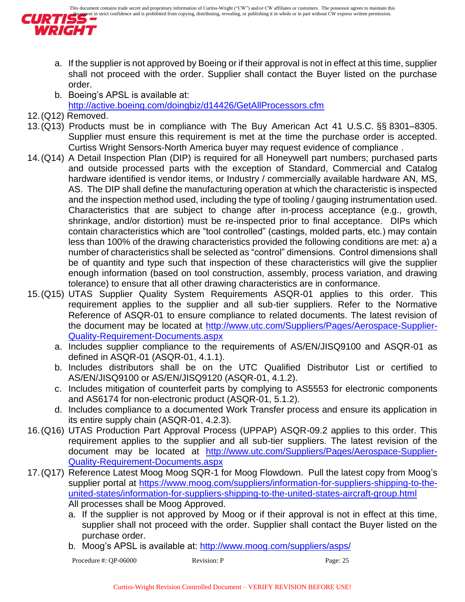

- a. If the supplier is not approved by Boeing or if their approval is not in effect at this time, supplier shall not proceed with the order. Supplier shall contact the Buyer listed on the purchase order.
- b. Boeing's APSL is available at: <http://active.boeing.com/doingbiz/d14426/GetAllProcessors.cfm>
- 12.(Q12) Removed.
- 13.(Q13) Products must be in compliance with The Buy American Act 41 U.S.C. §§ 8301–8305. Supplier must ensure this requirement is met at the time the purchase order is accepted. Curtiss Wright Sensors-North America buyer may request evidence of compliance .
- 14.(Q14) A Detail Inspection Plan (DIP) is required for all Honeywell part numbers; purchased parts and outside processed parts with the exception of Standard, Commercial and Catalog hardware identified is vendor items, or Industry / commercially available hardware AN, MS, AS. The DIP shall define the manufacturing operation at which the characteristic is inspected and the inspection method used, including the type of tooling / gauging instrumentation used. Characteristics that are subject to change after in-process acceptance (e.g., growth, shrinkage, and/or distortion) must be re-inspected prior to final acceptance. DIPs which contain characteristics which are "tool controlled" (castings, molded parts, etc.) may contain less than 100% of the drawing characteristics provided the following conditions are met: a) a number of characteristics shall be selected as "control" dimensions. Control dimensions shall be of quantity and type such that inspection of these characteristics will give the supplier enough information (based on tool construction, assembly, process variation, and drawing tolerance) to ensure that all other drawing characteristics are in conformance.
- 15.(Q15) UTAS Supplier Quality System Requirements ASQR-01 applies to this order. This requirement applies to the supplier and all sub-tier suppliers. Refer to the Normative Reference of ASQR-01 to ensure compliance to related documents. The latest revision of the document may be located at [http://www.utc.com/Suppliers/Pages/Aerospace-Supplier-](http://www.utc.com/Suppliers/Pages/Aerospace-Supplier-Quality-Requirement-Documents.aspx)[Quality-Requirement-Documents.aspx](http://www.utc.com/Suppliers/Pages/Aerospace-Supplier-Quality-Requirement-Documents.aspx)
	- a. Includes supplier compliance to the requirements of AS/EN/JISQ9100 and ASQR-01 as defined in ASQR-01 (ASQR-01, 4.1.1).
	- b. Includes distributors shall be on the UTC Qualified Distributor List or certified to AS/EN/JISQ9100 or AS/EN/JISQ9120 (ASQR-01, 4.1.2).
	- c. Includes mitigation of counterfeit parts by complying to AS5553 for electronic components and AS6174 for non-electronic product (ASQR-01, 5.1.2).
	- d. Includes compliance to a documented Work Transfer process and ensure its application in its entire supply chain (ASQR-01, 4.2.3).
- 16.(Q16) UTAS Production Part Approval Process (UPPAP) ASQR-09.2 applies to this order. This requirement applies to the supplier and all sub-tier suppliers. The latest revision of the document may be located at [http://www.utc.com/Suppliers/Pages/Aerospace-Supplier-](http://www.utc.com/Suppliers/Pages/Aerospace-Supplier-Quality-Requirement-Documents.aspx)[Quality-Requirement-Documents.aspx](http://www.utc.com/Suppliers/Pages/Aerospace-Supplier-Quality-Requirement-Documents.aspx)
- 17.(Q17) Reference Latest Moog Moog SQR-1 for Moog Flowdown. Pull the latest copy from Moog's supplier portal at [https://www.moog.com/suppliers/information-for-suppliers-shipping-to-the](https://www.moog.com/suppliers/information-for-suppliers-shipping-to-the-united-states/information-for-suppliers-shipping-to-the-united-states-aircraft-group.html)[united-states/information-for-suppliers-shipping-to-the-united-states-aircraft-group.html](https://www.moog.com/suppliers/information-for-suppliers-shipping-to-the-united-states/information-for-suppliers-shipping-to-the-united-states-aircraft-group.html) All processes shall be Moog Approved.
	- a. If the supplier is not approved by Moog or if their approval is not in effect at this time, supplier shall not proceed with the order. Supplier shall contact the Buyer listed on the purchase order.
	- b. Moog's APSL is available at: <http://www.moog.com/suppliers/asps/>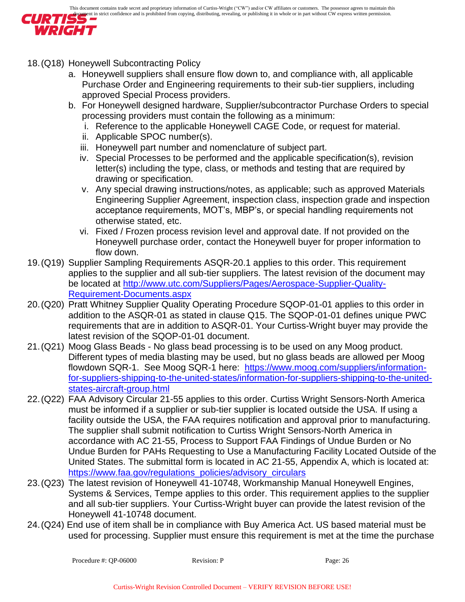

- 18.(Q18) Honeywell Subcontracting Policy
	- a. Honeywell suppliers shall ensure flow down to, and compliance with, all applicable Purchase Order and Engineering requirements to their sub-tier suppliers, including approved Special Process providers.
	- b. For Honeywell designed hardware, Supplier/subcontractor Purchase Orders to special processing providers must contain the following as a minimum:
		- i. Reference to the applicable Honeywell CAGE Code, or request for material.
		- ii. Applicable SPOC number(s).
		- iii. Honeywell part number and nomenclature of subject part.
		- iv. Special Processes to be performed and the applicable specification(s), revision letter(s) including the type, class, or methods and testing that are required by drawing or specification.
		- v. Any special drawing instructions/notes, as applicable; such as approved Materials Engineering Supplier Agreement, inspection class, inspection grade and inspection acceptance requirements, MOT's, MBP's, or special handling requirements not otherwise stated, etc.
		- vi. Fixed / Frozen process revision level and approval date. If not provided on the Honeywell purchase order, contact the Honeywell buyer for proper information to flow down.
- 19.(Q19) Supplier Sampling Requirements ASQR-20.1 applies to this order. This requirement applies to the supplier and all sub-tier suppliers. The latest revision of the document may be located at [http://www.utc.com/Suppliers/Pages/Aerospace-Supplier-Quality-](http://www.utc.com/Suppliers/Pages/Aerospace-Supplier-Quality-Requirement-Documents.aspx)[Requirement-Documents.aspx](http://www.utc.com/Suppliers/Pages/Aerospace-Supplier-Quality-Requirement-Documents.aspx)
- 20.(Q20) Pratt Whitney Supplier Quality Operating Procedure SQOP-01-01 applies to this order in addition to the ASQR-01 as stated in clause Q15. The SQOP-01-01 defines unique PWC requirements that are in addition to ASQR-01. Your Curtiss-Wright buyer may provide the latest revision of the SQOP-01-01 document.
- 21.(Q21) Moog Glass Beads No glass bead processing is to be used on any Moog product. Different types of media blasting may be used, but no glass beads are allowed per Moog flowdown SQR-1. See Moog SQR-1 here: [https://www.moog.com/suppliers/information](https://www.moog.com/suppliers/information-for-suppliers-shipping-to-the-united-states/information-for-suppliers-shipping-to-the-united-states-aircraft-group.html)[for-suppliers-shipping-to-the-united-states/information-for-suppliers-shipping-to-the-united](https://www.moog.com/suppliers/information-for-suppliers-shipping-to-the-united-states/information-for-suppliers-shipping-to-the-united-states-aircraft-group.html)[states-aircraft-group.html](https://www.moog.com/suppliers/information-for-suppliers-shipping-to-the-united-states/information-for-suppliers-shipping-to-the-united-states-aircraft-group.html)
- 22.(Q22) FAA Advisory Circular 21-55 applies to this order. Curtiss Wright Sensors-North America must be informed if a supplier or sub-tier supplier is located outside the USA. If using a facility outside the USA, the FAA requires notification and approval prior to manufacturing. The supplier shall submit notification to Curtiss Wright Sensors-North America in accordance with AC 21-55, Process to Support FAA Findings of Undue Burden or No Undue Burden for PAHs Requesting to Use a Manufacturing Facility Located Outside of the United States. The submittal form is located in AC 21-55, Appendix A, which is located at: [https://www.faa.gov/regulations\\_policies/advisory\\_circulars](https://www.faa.gov/regulations_policies/advisory_circulars)
- 23.(Q23) The latest revision of Honeywell 41-10748, Workmanship Manual Honeywell Engines, Systems & Services, Tempe applies to this order. This requirement applies to the supplier and all sub-tier suppliers. Your Curtiss-Wright buyer can provide the latest revision of the Honeywell 41-10748 document.
- 24.(Q24) End use of item shall be in compliance with Buy America Act. US based material must be used for processing. Supplier must ensure this requirement is met at the time the purchase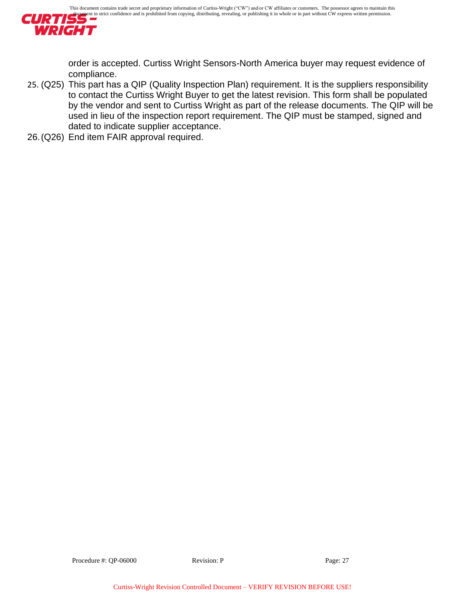

order is accepted. Curtiss Wright Sensors-North America buyer may request evidence of compliance.

- 25. (Q25) This part has a QIP (Quality Inspection Plan) requirement. It is the suppliers responsibility to contact the Curtiss Wright Buyer to get the latest revision. This form shall be populated by the vendor and sent to Curtiss Wright as part of the release documents. The QIP will be used in lieu of the inspection report requirement. The QIP must be stamped, signed and dated to indicate supplier acceptance.
- 26.(Q26) End item FAIR approval required.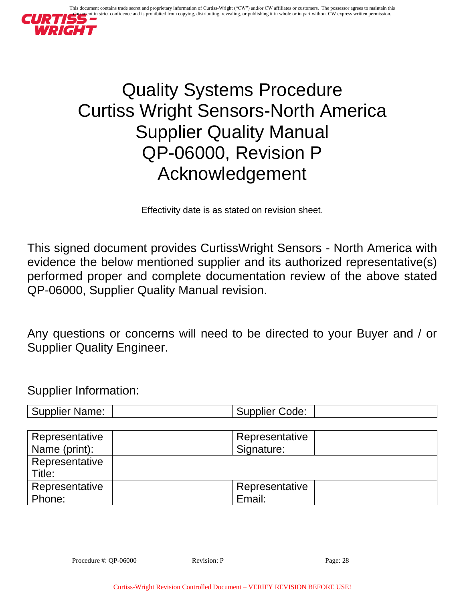

# Quality Systems Procedure Curtiss Wright Sensors-North America Supplier Quality Manual QP-06000, Revision P Acknowledgement

Effectivity date is as stated on revision sheet.

This signed document provides CurtissWright Sensors - North America with evidence the below mentioned supplier and its authorized representative(s) performed proper and complete documentation review of the above stated QP-06000, Supplier Quality Manual revision.

Any questions or concerns will need to be directed to your Buyer and / or Supplier Quality Engineer.

Supplier Information:

| <b>Supplier Name:</b><br>upplier (<br>Code: |
|---------------------------------------------|
|---------------------------------------------|

| Representative           | Representative |
|--------------------------|----------------|
| Name (print):            | Signature:     |
| Representative<br>Title: |                |
| Representative           | Representative |
| Phone:                   | Email:         |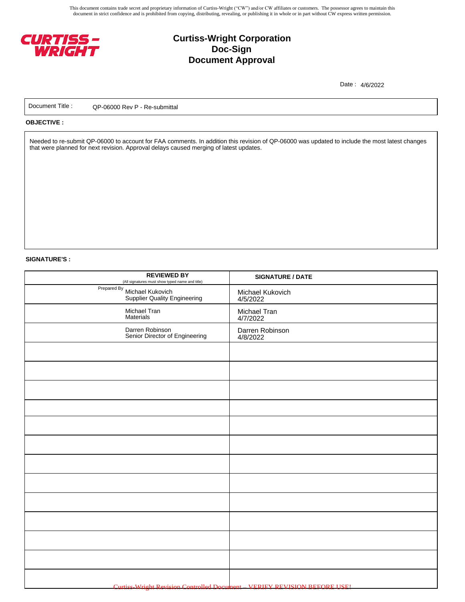This document contains trade secret and proprietary information of Curtiss-Wright ("CW") and/or CW affiliates or customers. The possessor agrees to maintain this document in strict confidence and is prohibited from copying, distributing, revealing, or publishing it in whole or in part without CW express written permission.



# **Curtiss-Wright Corporation Doc-Sign Document Approval**

Date : 4/6/2022

Document Title : QP-06000 Rev P - Re-submittal

#### **OBJECTIVE :**

Needed to re-submit QP-06000 to account for FAA comments. In addition this revision of QP-06000 was updated to include the most latest changes that were planned for next revision. Approval delays caused merging of latest updates.

#### **SIGNATURE'S :**

| <b>REVIEWED BY</b><br>(All signatures must show typed name and title) | <b>SIGNATURE / DATE</b>                                                   |
|-----------------------------------------------------------------------|---------------------------------------------------------------------------|
| Prepared By Michael Kukovich<br><b>Supplier Quality Engineering</b>   | Michael Kukovich<br>4/5/2022                                              |
| Michael Tran<br>Materials                                             | Michael Tran<br>4/7/2022                                                  |
| Darren Robinson<br>Senior Director of Engineering                     | Darren Robinson<br>4/8/2022                                               |
|                                                                       |                                                                           |
|                                                                       |                                                                           |
|                                                                       |                                                                           |
|                                                                       |                                                                           |
|                                                                       |                                                                           |
|                                                                       |                                                                           |
|                                                                       |                                                                           |
|                                                                       |                                                                           |
|                                                                       |                                                                           |
|                                                                       |                                                                           |
|                                                                       |                                                                           |
|                                                                       |                                                                           |
|                                                                       | Curtiss-Wright Revision Controlled Document - VERIFY REVISION BEFORE USE! |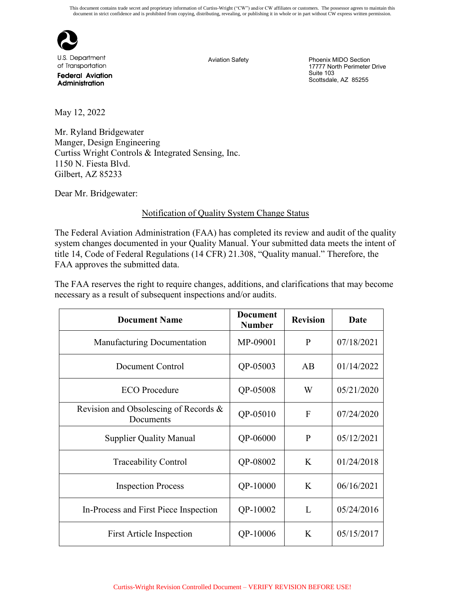

U.S. Department of Transportation

**Federal Aviation** Administration

Aviation Safety **Phoenix MIDO Section** 17777 North Perimeter Drive Suite 103 Scottsdale, AZ 85255

May 12, 2022

Mr. Ryland Bridgewater Manger, Design Engineering Curtiss Wright Controls & Integrated Sensing, Inc. 1150 N. Fiesta Blvd. Gilbert, AZ 85233

Dear Mr. Bridgewater:

#### Notification of Quality System Change Status

The Federal Aviation Administration (FAA) has completed its review and audit of the quality system changes documented in your Quality Manual. Your submitted data meets the intent of title 14, Code of Federal Regulations (14 CFR) 21.308, "Quality manual." Therefore, the FAA approves the submitted data.

The FAA reserves the right to require changes, additions, and clarifications that may become necessary as a result of subsequent inspections and/or audits.

| <b>Document Name</b>                               | <b>Document</b><br><b>Number</b> | <b>Revision</b> | Date       |
|----------------------------------------------------|----------------------------------|-----------------|------------|
| Manufacturing Documentation                        | MP-09001                         | P               | 07/18/2021 |
| Document Control                                   | QP-05003                         | AB              | 01/14/2022 |
| <b>ECO</b> Procedure                               | QP-05008                         | W               | 05/21/2020 |
| Revision and Obsolescing of Records &<br>Documents | QP-05010                         | $\overline{F}$  | 07/24/2020 |
| <b>Supplier Quality Manual</b>                     | QP-06000                         | $\mathbf{P}$    | 05/12/2021 |
| <b>Traceability Control</b>                        | QP-08002                         | K               | 01/24/2018 |
| <b>Inspection Process</b>                          | QP-10000                         | K               | 06/16/2021 |
| In-Process and First Piece Inspection              | QP-10002                         | L               | 05/24/2016 |
| <b>First Article Inspection</b>                    | QP-10006                         | K               | 05/15/2017 |